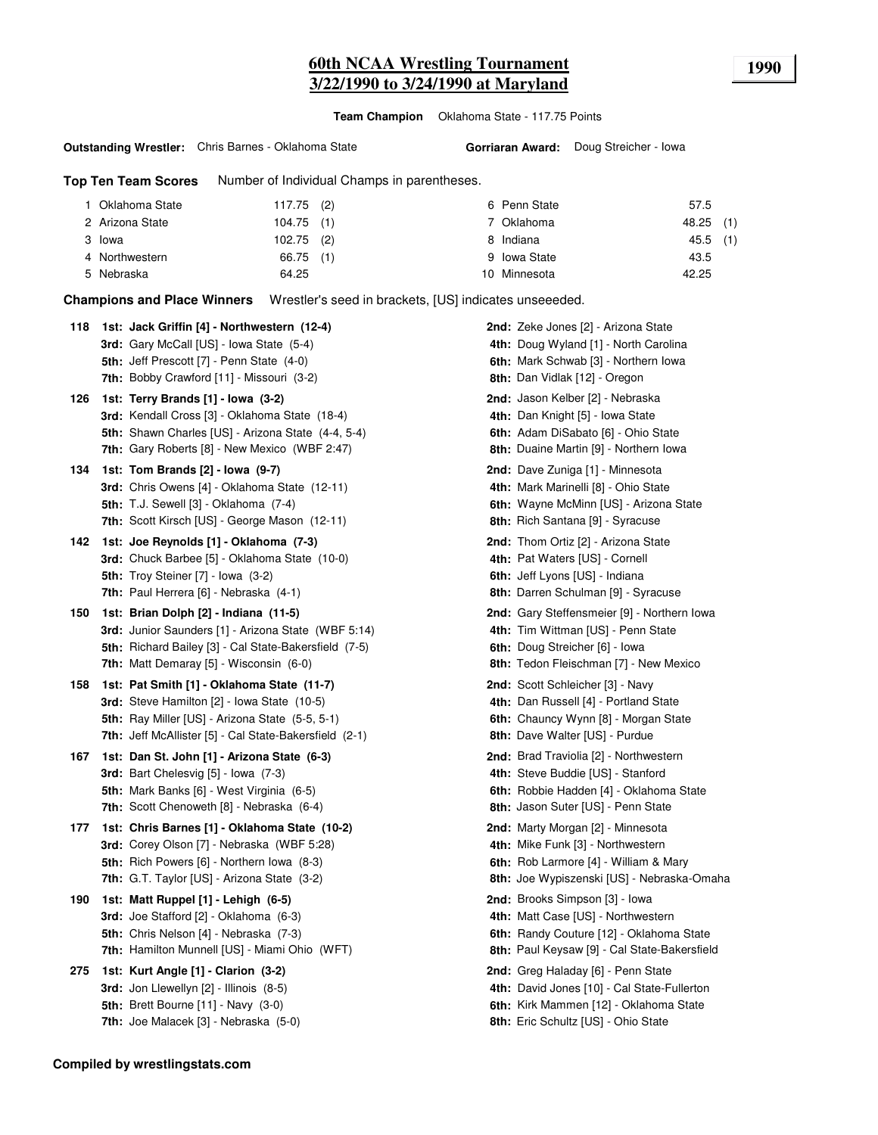**Team Champion** Oklahoma State - 117.75 Points

#### **Outstanding Wrestler:** Chris Barnes - Oklahoma State

**Gorriaran Award:** Doug Streicher - Iowa

**Top Ten Team Scores** Number of Individual Champs in parentheses.

| Oklahoma State  | $117.75$ (2) | 6 Penn State | 57.5       |
|-----------------|--------------|--------------|------------|
| 2 Arizona State | $104.75$ (1) | 7 Oklahoma   | 48.25 (1)  |
| 3 Iowa          | $102.75$ (2) | 8 Indiana    | $45.5$ (1) |
| 4 Northwestern  | 66.75 (1)    | 9 Iowa State | 43.5       |
| 5 Nebraska      | 64.25        | 10 Minnesota | 42.25      |

**Champions and Place Winners** Wrestler's seed in brackets, [US] indicates unseeeded.

| 118 | 1st: Jack Griffin [4] - Northwestern (12-4)<br><b>3rd:</b> Gary McCall [US] - Iowa State (5-4)<br>5th: Jeff Prescott [7] - Penn State (4-0)                                                                                                            | 2nd: Zeke Jones [2] - Arizona State<br>4th: Doug Wyland [1] - North Carolina<br>6th: Mark Schwab [3] - Northern Iowa                                                                          |
|-----|--------------------------------------------------------------------------------------------------------------------------------------------------------------------------------------------------------------------------------------------------------|-----------------------------------------------------------------------------------------------------------------------------------------------------------------------------------------------|
| 126 | <b>7th:</b> Bobby Crawford [11] - Missouri (3-2)<br>1st: Terry Brands [1] - Iowa (3-2)<br>3rd: Kendall Cross [3] - Oklahoma State (18-4)<br>5th: Shawn Charles [US] - Arizona State (4-4, 5-4)<br><b>7th:</b> Gary Roberts [8] - New Mexico (WBF 2:47) | 8th: Dan Vidlak [12] - Oregon<br>2nd: Jason Kelber [2] - Nebraska<br>4th: Dan Knight [5] - Iowa State<br>6th: Adam DiSabato [6] - Ohio State<br><b>8th:</b> Duaine Martin [9] - Northern Iowa |
| 134 | 1st: Tom Brands [2] - Iowa (9-7)<br><b>3rd:</b> Chris Owens [4] - Oklahoma State (12-11)<br><b>5th:</b> T.J. Sewell [3] - Oklahoma (7-4)<br><b>7th: Scott Kirsch [US] - George Mason (12-11)</b>                                                       | 2nd: Dave Zuniga [1] - Minnesota<br>4th: Mark Marinelli [8] - Ohio State<br>6th: Wayne McMinn [US] - Arizona State<br><b>8th:</b> Rich Santana [9] - Syracuse                                 |
| 142 | 1st: Joe Reynolds [1] - Oklahoma (7-3)<br><b>3rd:</b> Chuck Barbee [5] - Oklahoma State (10-0)<br><b>5th:</b> Troy Steiner [7] - Iowa (3-2)<br>7th: Paul Herrera [6] - Nebraska (4-1)                                                                  | 2nd: Thom Ortiz [2] - Arizona State<br>4th: Pat Waters [US] - Cornell<br>6th: Jeff Lyons [US] - Indiana<br>8th: Darren Schulman [9] - Syracuse                                                |
| 150 | 1st: Brian Dolph [2] - Indiana (11-5)<br><b>3rd:</b> Junior Saunders [1] - Arizona State (WBF 5:14)<br>5th: Richard Bailey [3] - Cal State-Bakersfield (7-5)<br><b>7th:</b> Matt Demaray [5] - Wisconsin (6-0)                                         | 2nd: Gary Steffensmeier [9] - Northern Iowa<br>4th: Tim Wittman [US] - Penn State<br>6th: Doug Streicher [6] - Iowa<br><b>8th:</b> Tedon Fleischman [7] - New Mexico                          |
| 158 | 1st: Pat Smith [1] - Oklahoma State (11-7)<br><b>3rd:</b> Steve Hamilton [2] - Iowa State (10-5)<br><b>5th:</b> Ray Miller [US] - Arizona State (5-5, 5-1)<br><b>7th:</b> Jeff McAllister [5] - Cal State-Bakersfield (2-1)                            | 2nd: Scott Schleicher [3] - Navy<br>4th: Dan Russell [4] - Portland State<br>6th: Chauncy Wynn [8] - Morgan State<br><b>8th:</b> Dave Walter [US] - Purdue                                    |
| 167 | 1st: Dan St. John [1] - Arizona State (6-3)<br><b>3rd:</b> Bart Chelesvig [5] - Iowa (7-3)<br>5th: Mark Banks [6] - West Virginia (6-5)<br><b>7th:</b> Scott Chenoweth [8] - Nebraska (6-4)                                                            | 2nd: Brad Traviolia [2] - Northwestern<br>4th: Steve Buddie [US] - Stanford<br>6th: Robbie Hadden [4] - Oklahoma State<br>8th: Jason Suter [US] - Penn State                                  |
| 177 | 1st: Chris Barnes [1] - Oklahoma State (10-2)<br><b>3rd:</b> Corey Olson [7] - Nebraska (WBF 5:28)<br><b>5th:</b> Rich Powers [6] - Northern Iowa (8-3)<br><b>7th:</b> G.T. Taylor [US] - Arizona State (3-2)                                          | 2nd: Marty Morgan [2] - Minnesota<br>4th: Mike Funk [3] - Northwestern<br>6th: Rob Larmore [4] - William & Mary<br>8th: Joe Wypiszenski [US] - Nebraska-Omaha                                 |
| 190 | 1st: Matt Ruppel [1] - Lehigh (6-5)<br><b>3rd:</b> Joe Stafford [2] - Oklahoma (6-3)<br><b>5th:</b> Chris Nelson [4] - Nebraska (7-3)<br><b>7th: Hamilton Munnell [US] - Miami Ohio (WFT)</b>                                                          | 2nd: Brooks Simpson [3] - Iowa<br>4th: Matt Case [US] - Northwestern<br>6th: Randy Couture [12] - Oklahoma State<br>8th: Paul Keysaw [9] - Cal State-Bakersfield                              |
| 275 | 1st: Kurt Angle [1] - Clarion (3-2)<br><b>3rd:</b> Jon Llewellyn [2] - Illinois (8-5)<br>5th: Brett Bourne $[11]$ - Navy $(3-0)$<br><b>7th:</b> Joe Malacek [3] - Nebraska (5-0)                                                                       | 2nd: Greg Haladay [6] - Penn State<br>4th: David Jones [10] - Cal State-Fullerton<br>6th: Kirk Mammen [12] - Oklahoma State<br>8th: Eric Schultz [US] - Ohio State                            |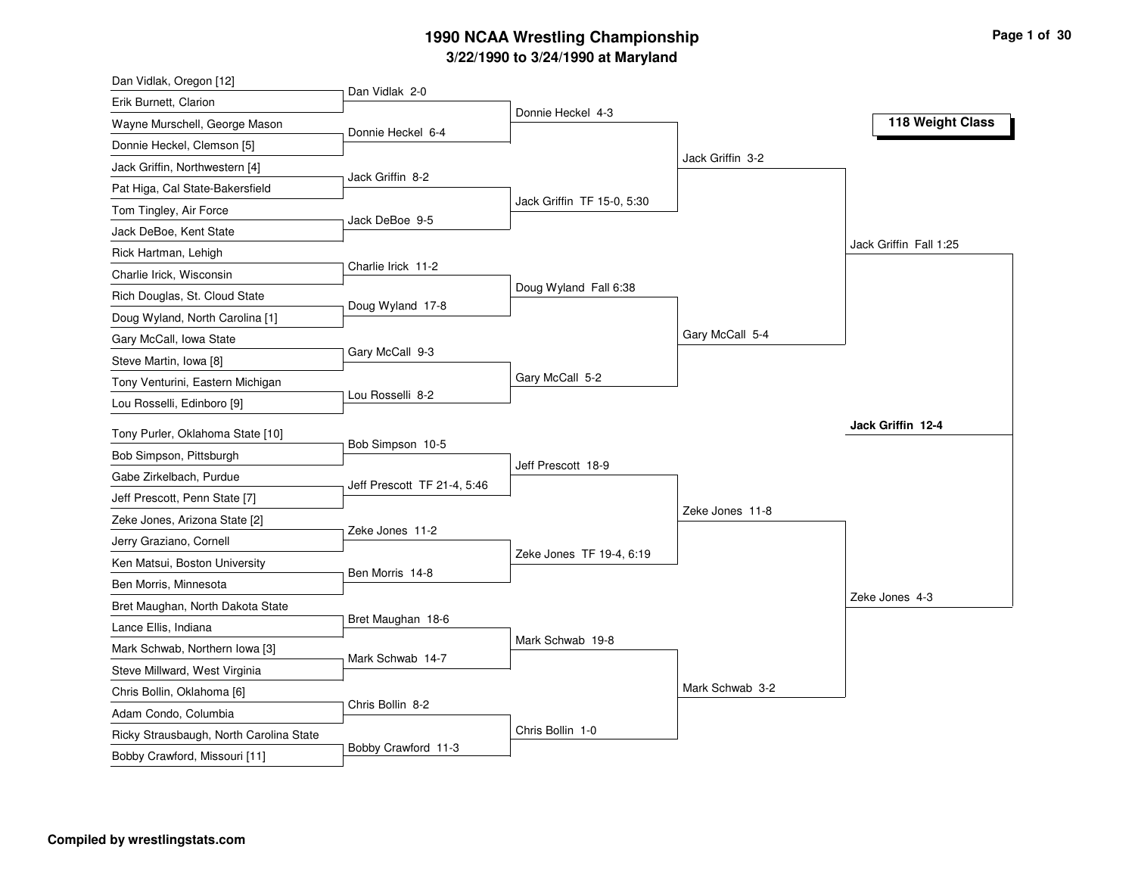| Dan Vidlak, Oregon [12]                                         |                             |                            |                  |                        |
|-----------------------------------------------------------------|-----------------------------|----------------------------|------------------|------------------------|
| Erik Burnett, Clarion                                           | Dan Vidlak 2-0              |                            |                  |                        |
| Wayne Murschell, George Mason                                   | Donnie Heckel 6-4           | Donnie Heckel 4-3          |                  | 118 Weight Class       |
| Donnie Heckel, Clemson [5]                                      |                             |                            |                  |                        |
| Jack Griffin, Northwestern [4]                                  |                             |                            | Jack Griffin 3-2 |                        |
| Pat Higa, Cal State-Bakersfield                                 | Jack Griffin 8-2            |                            |                  |                        |
| Tom Tingley, Air Force                                          |                             | Jack Griffin TF 15-0, 5:30 |                  |                        |
| Jack DeBoe, Kent State                                          | Jack DeBoe 9-5              |                            |                  |                        |
| Rick Hartman, Lehigh                                            |                             |                            |                  | Jack Griffin Fall 1:25 |
| Charlie Irick, Wisconsin                                        | Charlie Irick 11-2          |                            |                  |                        |
| Rich Douglas, St. Cloud State                                   |                             | Doug Wyland Fall 6:38      |                  |                        |
| Doug Wyland, North Carolina [1]                                 | Doug Wyland 17-8            |                            |                  |                        |
| Gary McCall, Iowa State                                         |                             |                            | Gary McCall 5-4  |                        |
| Steve Martin, Iowa [8]                                          | Gary McCall 9-3             |                            |                  |                        |
| Tony Venturini, Eastern Michigan                                |                             | Gary McCall 5-2            |                  |                        |
| Lou Rosselli, Edinboro [9]                                      | Lou Rosselli 8-2            |                            |                  |                        |
| Tony Purler, Oklahoma State [10]                                |                             |                            |                  | Jack Griffin 12-4      |
| Bob Simpson, Pittsburgh                                         | Bob Simpson 10-5            |                            |                  |                        |
| Gabe Zirkelbach, Purdue                                         |                             | Jeff Prescott 18-9         |                  |                        |
| Jeff Prescott, Penn State [7]                                   | Jeff Prescott TF 21-4, 5:46 |                            |                  |                        |
| Zeke Jones, Arizona State [2]                                   |                             |                            | Zeke Jones 11-8  |                        |
| Jerry Graziano, Cornell                                         | Zeke Jones 11-2             |                            |                  |                        |
| Ken Matsui, Boston University                                   |                             | Zeke Jones TF 19-4, 6:19   |                  |                        |
| Ben Morris, Minnesota                                           | Ben Morris 14-8             |                            |                  |                        |
| Bret Maughan, North Dakota State                                |                             |                            |                  | Zeke Jones 4-3         |
| Lance Ellis, Indiana                                            | Bret Maughan 18-6           |                            |                  |                        |
| Mark Schwab, Northern Iowa [3]                                  |                             |                            |                  |                        |
|                                                                 |                             | Mark Schwab 19-8           |                  |                        |
| Steve Millward, West Virginia                                   | Mark Schwab 14-7            |                            |                  |                        |
|                                                                 |                             |                            |                  |                        |
| Chris Bollin, Oklahoma [6]                                      | Chris Bollin 8-2            |                            | Mark Schwab 3-2  |                        |
| Adam Condo, Columbia<br>Ricky Strausbaugh, North Carolina State |                             | Chris Bollin 1-0           |                  |                        |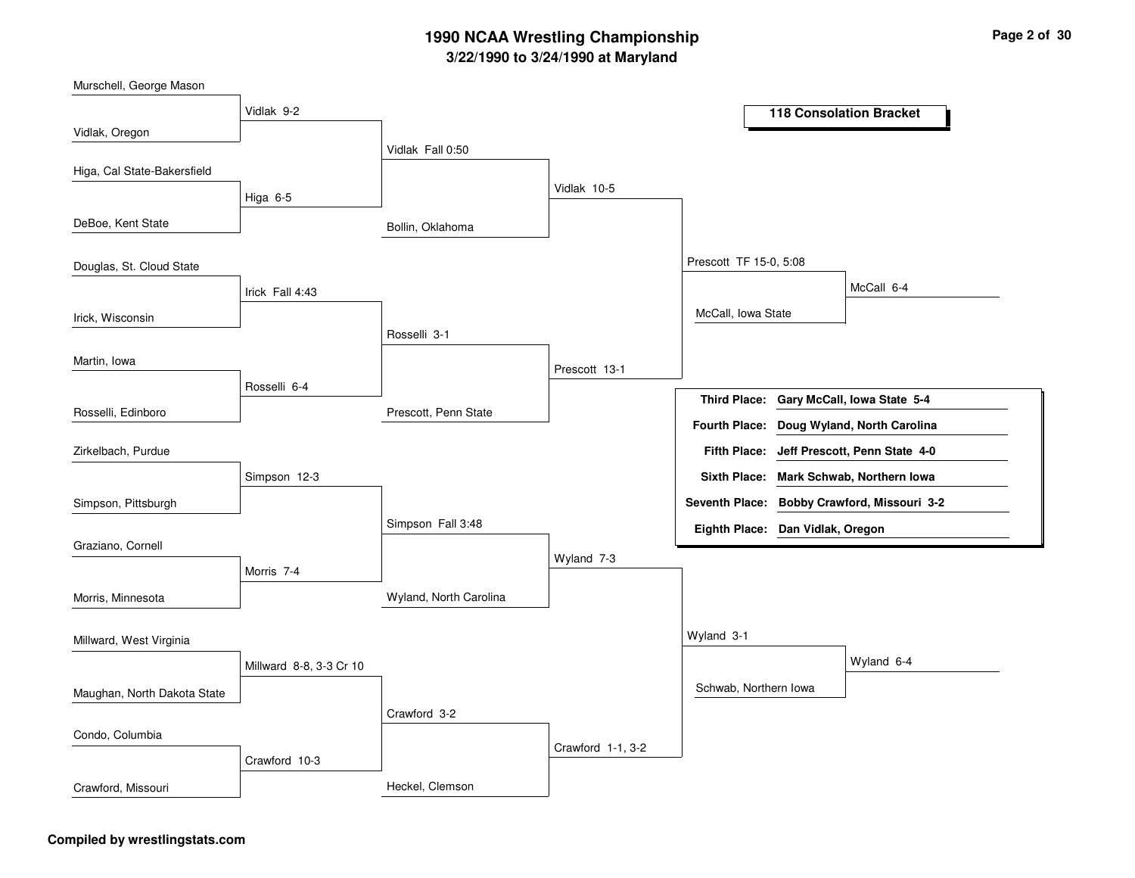Bollin, OklahomaPrescott, Penn StateWyland, North CarolinaHeckel, ClemsonVidlak Fall 0:50Rosselli 3-1Simpson Fall 3:48Crawford 3-2Vidlak 10-5Prescott 13-1Wyland 7-3Crawford 1-1, 3-2Prescott TF 15-0, 5:08Wyland 3-1McCall, Iowa StateSchwab, Northern IowaMcCall 6-4Wyland 6-4Vidlak 9-2Higa 6-5Irick Fall 4:43Rosselli 6-4Simpson 12-3Morris 7-4Millward 8-8, 3-3 Cr 10Crawford 10-3Vidlak, OregonDeBoe, Kent StateIrick, WisconsinRosselli, EdinboroHiga, Cal State-BakersfieldDouglas, St. Cloud StateMartin, IowaSimpson, PittsburghZirkelbach, PurdueGraziano, CornellMorris, MinnesotaMaughan, North Dakota StateMillward, West VirginiaCondo, ColumbiaCrawford, Missouri**118 Consolation BracketGary McCall, Iowa State 5-4Third Place:Jeff Prescott, Penn State 4-0Fifth Place:Seventh Place: Bobby Crawford, Missouri 3-2Eighth Place: Dan Vidlak, OregonFourth Place: Doug Wyland, North CarolinaSixth Place: Mark Schwab, Northern Iowa**

#### **Compiled by wrestlingstats.com**

Murschell, George Mason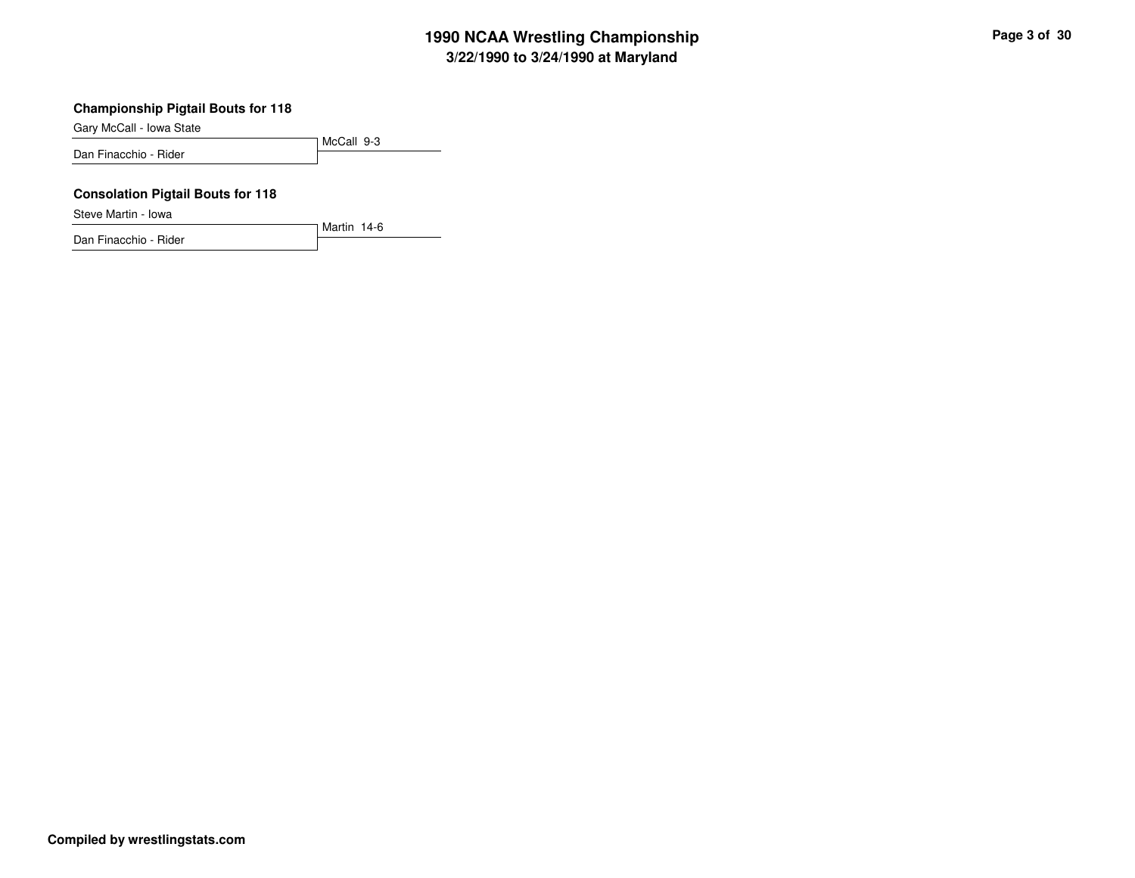### **Championship Pigtail Bouts for 118**

Gary McCall - Iowa State

McCall 9-3Dan Finacchio - Rider

Martin 14-6

#### **Consolation Pigtail Bouts for 118**

Steve Martin - Iowa

Dan Finacchio - Rider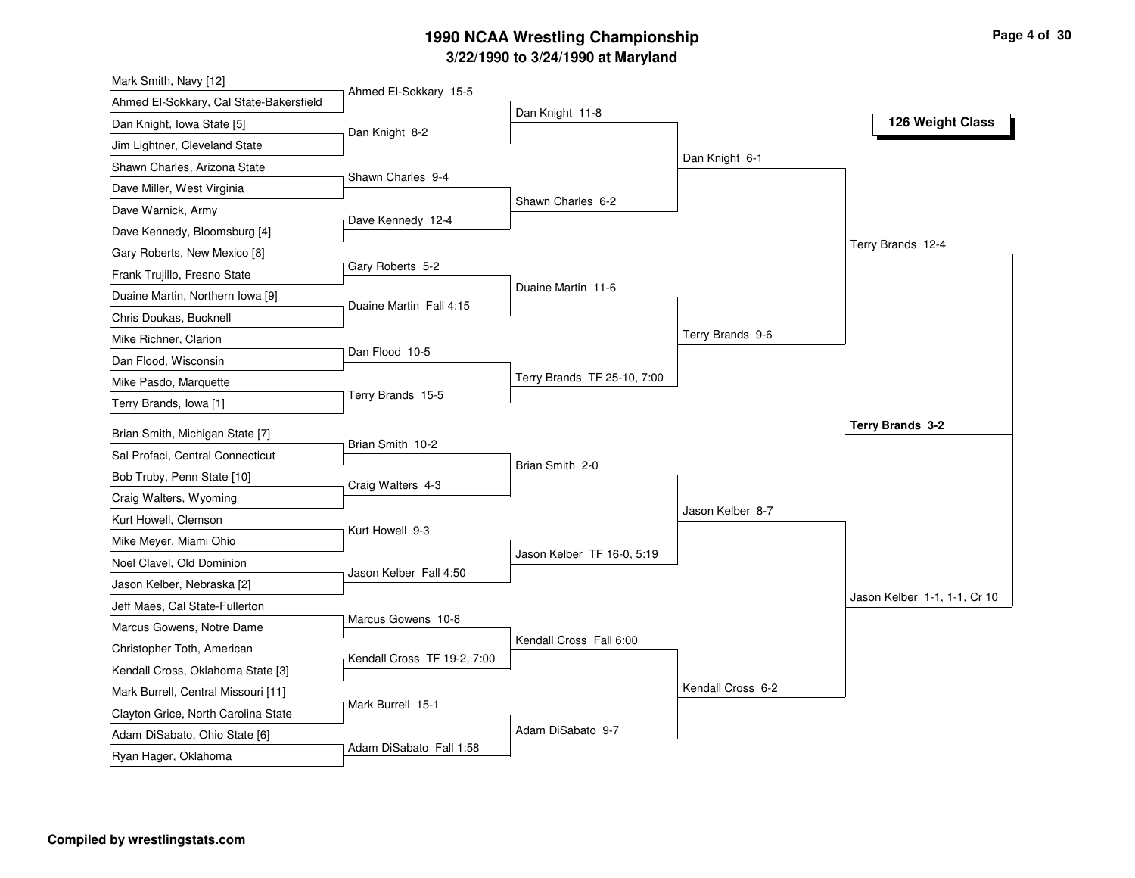| Mark Smith, Navy [12]                   |                             |                             |                   |                              |
|-----------------------------------------|-----------------------------|-----------------------------|-------------------|------------------------------|
| Ahmed El-Sokkary, Cal State-Bakersfield | Ahmed El-Sokkary 15-5       |                             |                   |                              |
| Dan Knight, Iowa State [5]              | Dan Knight 8-2              | Dan Knight 11-8             |                   | 126 Weight Class             |
| Jim Lightner, Cleveland State           |                             |                             |                   |                              |
| Shawn Charles, Arizona State            |                             |                             | Dan Knight 6-1    |                              |
| Dave Miller, West Virginia              | Shawn Charles 9-4           |                             |                   |                              |
| Dave Warnick, Army                      |                             | Shawn Charles 6-2           |                   |                              |
| Dave Kennedy, Bloomsburg [4]            | Dave Kennedy 12-4           |                             |                   |                              |
| Gary Roberts, New Mexico [8]            |                             |                             |                   | Terry Brands 12-4            |
| Frank Trujillo, Fresno State            | Gary Roberts 5-2            |                             |                   |                              |
| Duaine Martin, Northern Iowa [9]        | Duaine Martin Fall 4:15     | Duaine Martin 11-6          |                   |                              |
| Chris Doukas, Bucknell                  |                             |                             |                   |                              |
| Mike Richner, Clarion                   |                             |                             | Terry Brands 9-6  |                              |
| Dan Flood, Wisconsin                    | Dan Flood 10-5              |                             |                   |                              |
| Mike Pasdo, Marquette                   |                             | Terry Brands TF 25-10, 7:00 |                   |                              |
| Terry Brands, Iowa [1]                  | Terry Brands 15-5           |                             |                   |                              |
| Brian Smith, Michigan State [7]         |                             |                             |                   | Terry Brands 3-2             |
| Sal Profaci, Central Connecticut        | Brian Smith 10-2            |                             |                   |                              |
| Bob Truby, Penn State [10]              |                             | Brian Smith 2-0             |                   |                              |
| Craig Walters, Wyoming                  | Craig Walters 4-3           |                             |                   |                              |
| Kurt Howell, Clemson                    |                             |                             | Jason Kelber 8-7  |                              |
| Mike Meyer, Miami Ohio                  | Kurt Howell 9-3             |                             |                   |                              |
| Noel Clavel, Old Dominion               |                             | Jason Kelber TF 16-0, 5:19  |                   |                              |
| Jason Kelber, Nebraska [2]              | Jason Kelber Fall 4:50      |                             |                   |                              |
| Jeff Maes, Cal State-Fullerton          |                             |                             |                   | Jason Kelber 1-1, 1-1, Cr 10 |
| Marcus Gowens, Notre Dame               | Marcus Gowens 10-8          |                             |                   |                              |
| Christopher Toth, American              |                             | Kendall Cross Fall 6:00     |                   |                              |
| Kendall Cross, Oklahoma State [3]       | Kendall Cross TF 19-2, 7:00 |                             |                   |                              |
| Mark Burrell, Central Missouri [11]     |                             |                             | Kendall Cross 6-2 |                              |
| Clayton Grice, North Carolina State     | Mark Burrell 15-1           |                             |                   |                              |
| Adam DiSabato, Ohio State [6]           |                             | Adam DiSabato 9-7           |                   |                              |
| Ryan Hager, Oklahoma                    | Adam DiSabato Fall 1:58     |                             |                   |                              |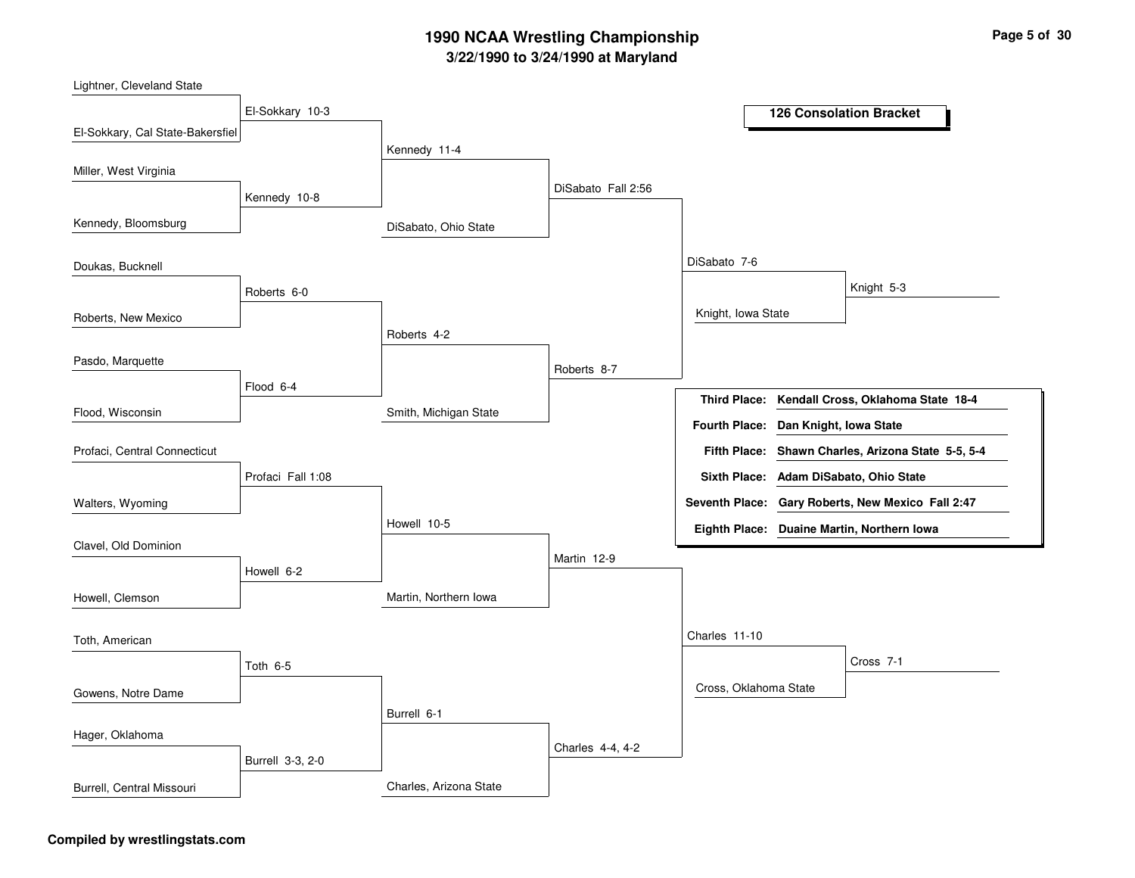Lightner, Cleveland State

| $-$ guno, en cronomo otoro       |                   |                        |                    |                       |                        |                                                    |
|----------------------------------|-------------------|------------------------|--------------------|-----------------------|------------------------|----------------------------------------------------|
|                                  | El-Sokkary 10-3   |                        |                    |                       |                        | <b>126 Consolation Bracket</b>                     |
| El-Sokkary, Cal State-Bakersfiel |                   |                        |                    |                       |                        |                                                    |
|                                  |                   | Kennedy 11-4           |                    |                       |                        |                                                    |
| Miller, West Virginia            |                   |                        | DiSabato Fall 2:56 |                       |                        |                                                    |
|                                  | Kennedy 10-8      |                        |                    |                       |                        |                                                    |
| Kennedy, Bloomsburg              |                   | DiSabato, Ohio State   |                    |                       |                        |                                                    |
| Doukas, Bucknell                 |                   |                        |                    | DiSabato 7-6          |                        |                                                    |
|                                  | Roberts 6-0       |                        |                    |                       |                        | Knight 5-3                                         |
| Roberts, New Mexico              |                   |                        |                    | Knight, Iowa State    |                        |                                                    |
|                                  |                   | Roberts 4-2            |                    |                       |                        |                                                    |
| Pasdo, Marquette                 |                   |                        | Roberts 8-7        |                       |                        |                                                    |
|                                  | Flood 6-4         |                        |                    | <b>Third Place:</b>   |                        | Kendall Cross, Oklahoma State 18-4                 |
| Flood, Wisconsin                 |                   | Smith, Michigan State  |                    |                       |                        |                                                    |
|                                  |                   |                        |                    | <b>Fourth Place:</b>  | Dan Knight, Iowa State |                                                    |
| Profaci, Central Connecticut     |                   |                        |                    |                       |                        | Fifth Place: Shawn Charles, Arizona State 5-5, 5-4 |
|                                  | Profaci Fall 1:08 |                        |                    | <b>Sixth Place:</b>   |                        | Adam DiSabato, Ohio State                          |
| Walters, Wyoming                 |                   |                        |                    |                       |                        | Seventh Place: Gary Roberts, New Mexico Fall 2:47  |
|                                  |                   | Howell 10-5            |                    |                       |                        | Eighth Place: Duaine Martin, Northern Iowa         |
| Clavel, Old Dominion             |                   |                        | Martin 12-9        |                       |                        |                                                    |
|                                  | Howell 6-2        |                        |                    |                       |                        |                                                    |
| Howell, Clemson                  |                   | Martin, Northern Iowa  |                    |                       |                        |                                                    |
| Toth, American                   |                   |                        |                    | Charles 11-10         |                        |                                                    |
|                                  |                   |                        |                    |                       |                        | Cross 7-1                                          |
|                                  | Toth 6-5          |                        |                    | Cross, Oklahoma State |                        |                                                    |
| Gowens, Notre Dame               |                   |                        |                    |                       |                        |                                                    |
|                                  |                   | Burrell 6-1            |                    |                       |                        |                                                    |
| Hager, Oklahoma                  |                   |                        | Charles 4-4, 4-2   |                       |                        |                                                    |
|                                  | Burrell 3-3, 2-0  |                        |                    |                       |                        |                                                    |
| Burrell, Central Missouri        |                   | Charles, Arizona State |                    |                       |                        |                                                    |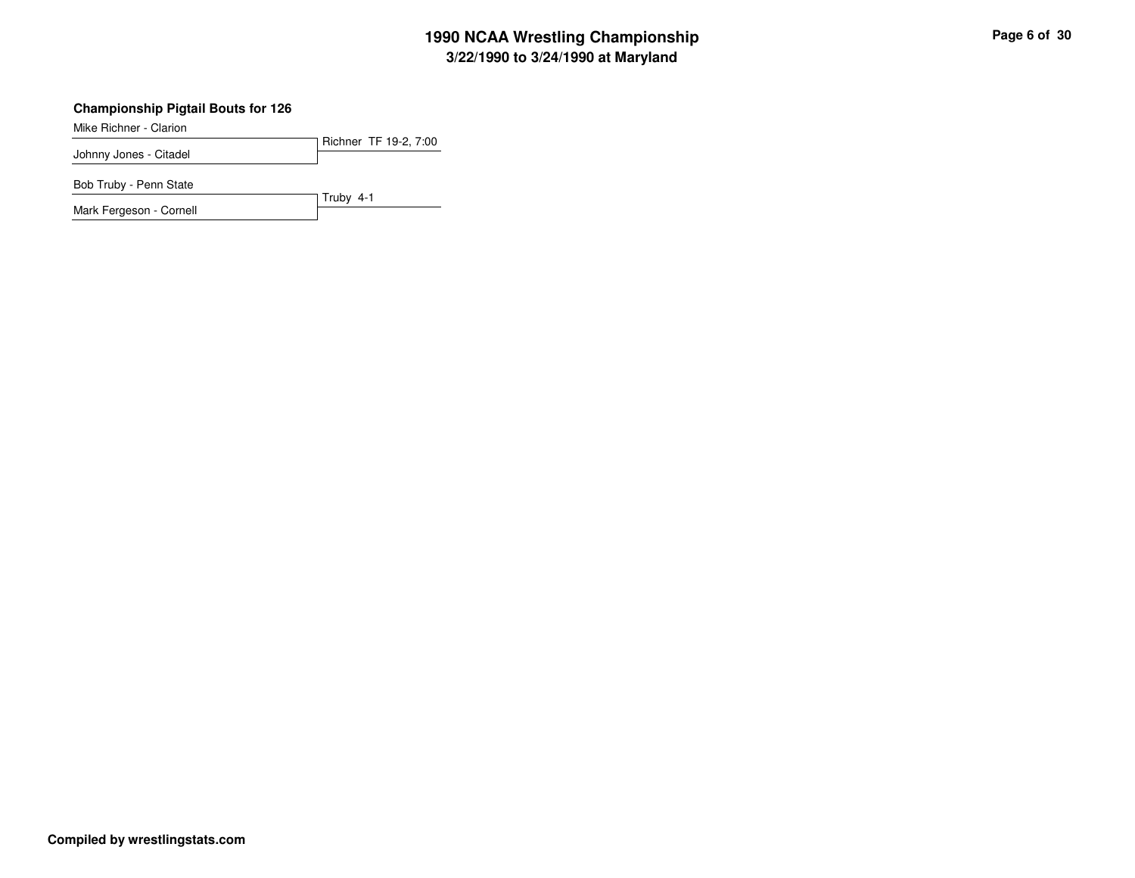### **Championship Pigtail Bouts for 126**

Mike Richner - Clarion

Richner TF 19-2, 7:00Johnny Jones - Citadel

Truby 4-1

Bob Truby - Penn State

Mark Fergeson - Cornell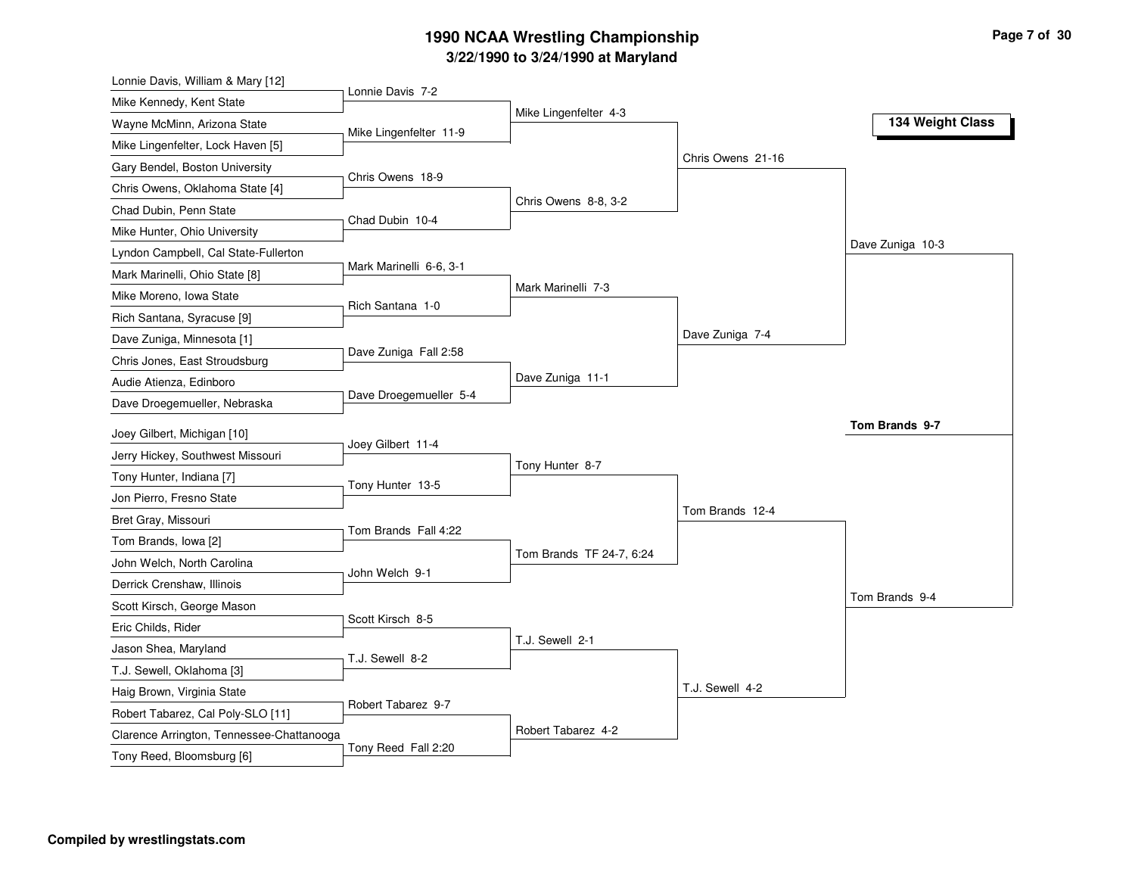| Lonnie Davis, William & Mary [12]                               |                         |                          |                   |                  |
|-----------------------------------------------------------------|-------------------------|--------------------------|-------------------|------------------|
| Mike Kennedy, Kent State                                        | Lonnie Davis 7-2        |                          |                   |                  |
| Wayne McMinn, Arizona State                                     | Mike Lingenfelter 11-9  | Mike Lingenfelter 4-3    |                   | 134 Weight Class |
| Mike Lingenfelter, Lock Haven [5]                               |                         |                          |                   |                  |
| Gary Bendel, Boston University                                  | Chris Owens 18-9        |                          | Chris Owens 21-16 |                  |
| Chris Owens, Oklahoma State [4]                                 |                         |                          |                   |                  |
| Chad Dubin, Penn State                                          | Chad Dubin 10-4         | Chris Owens 8-8, 3-2     |                   |                  |
| Mike Hunter, Ohio University                                    |                         |                          |                   |                  |
| Lyndon Campbell, Cal State-Fullerton                            |                         |                          |                   | Dave Zuniga 10-3 |
| Mark Marinelli, Ohio State [8]                                  | Mark Marinelli 6-6, 3-1 |                          |                   |                  |
| Mike Moreno, Iowa State                                         | Rich Santana 1-0        | Mark Marinelli 7-3       |                   |                  |
| Rich Santana, Syracuse [9]                                      |                         |                          |                   |                  |
| Dave Zuniga, Minnesota [1]                                      |                         |                          | Dave Zuniga 7-4   |                  |
| Chris Jones, East Stroudsburg                                   | Dave Zuniga Fall 2:58   |                          |                   |                  |
| Audie Atienza, Edinboro                                         |                         | Dave Zuniga 11-1         |                   |                  |
| Dave Droegemueller, Nebraska                                    | Dave Droegemueller 5-4  |                          |                   |                  |
| Joey Gilbert, Michigan [10]                                     |                         |                          |                   | Tom Brands 9-7   |
| Jerry Hickey, Southwest Missouri                                | Joey Gilbert 11-4       |                          |                   |                  |
| Tony Hunter, Indiana [7]                                        |                         | Tony Hunter 8-7          |                   |                  |
| Jon Pierro, Fresno State                                        | Tony Hunter 13-5        |                          |                   |                  |
|                                                                 |                         |                          |                   |                  |
|                                                                 |                         |                          | Tom Brands 12-4   |                  |
| Bret Gray, Missouri                                             | Tom Brands Fall 4:22    |                          |                   |                  |
| Tom Brands, Iowa [2]                                            |                         | Tom Brands TF 24-7, 6:24 |                   |                  |
| John Welch, North Carolina                                      | John Welch 9-1          |                          |                   |                  |
| Derrick Crenshaw, Illinois                                      |                         |                          |                   | Tom Brands 9-4   |
| Scott Kirsch, George Mason                                      | Scott Kirsch 8-5        |                          |                   |                  |
| Eric Childs, Rider                                              |                         | T.J. Sewell 2-1          |                   |                  |
| Jason Shea, Maryland                                            | T.J. Sewell 8-2         |                          |                   |                  |
| T.J. Sewell, Oklahoma [3]                                       |                         |                          | T.J. Sewell 4-2   |                  |
| Haig Brown, Virginia State<br>Robert Tabarez, Cal Poly-SLO [11] | Robert Tabarez 9-7      |                          |                   |                  |
| Clarence Arrington, Tennessee-Chattanooga                       |                         | Robert Tabarez 4-2       |                   |                  |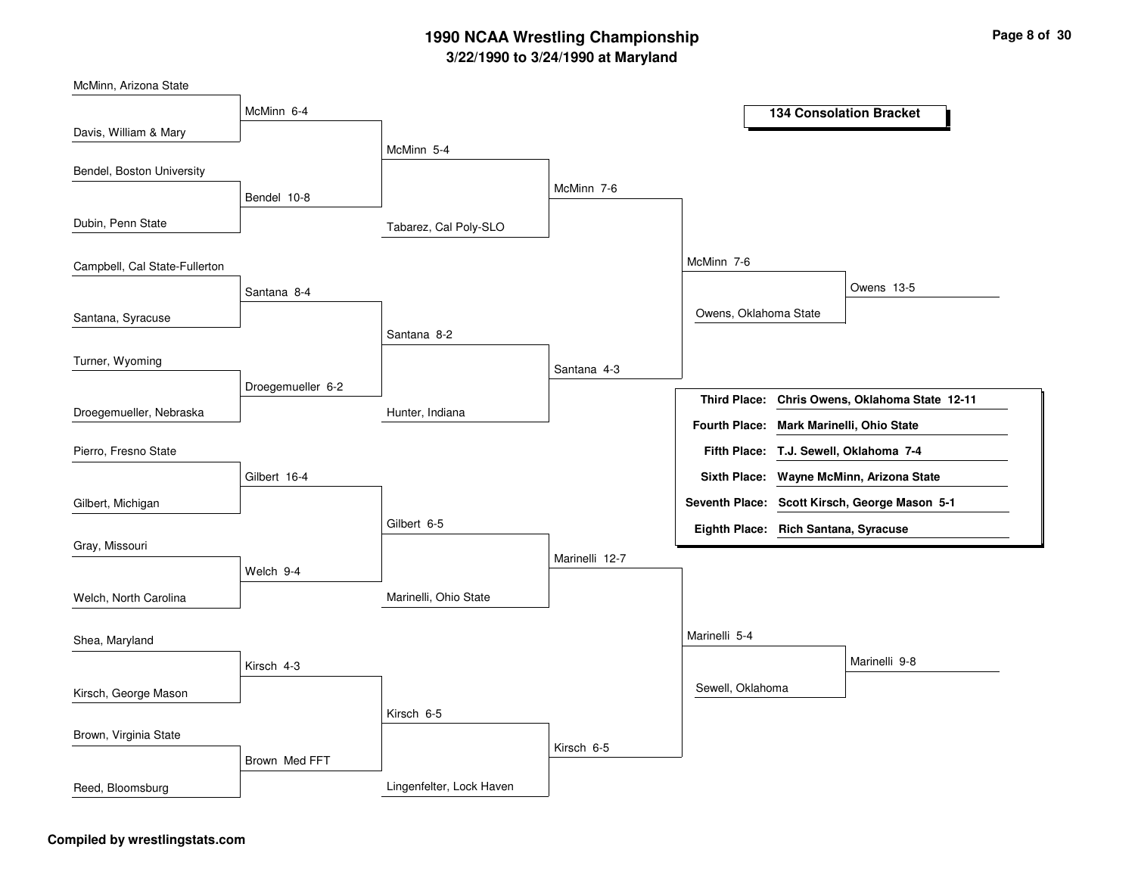| McMinn, Arizona State         |                   |                          |                |                                      |                                               |
|-------------------------------|-------------------|--------------------------|----------------|--------------------------------------|-----------------------------------------------|
|                               | McMinn 6-4        |                          |                |                                      | <b>134 Consolation Bracket</b>                |
| Davis, William & Mary         |                   |                          |                |                                      |                                               |
|                               |                   | McMinn 5-4               |                |                                      |                                               |
| Bendel, Boston University     |                   |                          |                |                                      |                                               |
|                               | Bendel 10-8       |                          | McMinn 7-6     |                                      |                                               |
| Dubin, Penn State             |                   | Tabarez, Cal Poly-SLO    |                |                                      |                                               |
| Campbell, Cal State-Fullerton |                   |                          |                | McMinn 7-6                           |                                               |
|                               | Santana 8-4       |                          |                |                                      | Owens 13-5                                    |
| Santana, Syracuse             |                   |                          |                | Owens, Oklahoma State                |                                               |
|                               |                   | Santana 8-2              |                |                                      |                                               |
| Turner, Wyoming               |                   |                          | Santana 4-3    |                                      |                                               |
|                               | Droegemueller 6-2 |                          |                |                                      |                                               |
| Droegemueller, Nebraska       |                   | Hunter, Indiana          |                | Third Place:                         | Chris Owens, Oklahoma State 12-11             |
|                               |                   |                          |                | <b>Fourth Place:</b>                 | Mark Marinelli, Ohio State                    |
| Pierro, Fresno State          |                   |                          |                |                                      | Fifth Place: T.J. Sewell, Oklahoma 7-4        |
|                               | Gilbert 16-4      |                          |                | <b>Sixth Place:</b>                  | Wayne McMinn, Arizona State                   |
| Gilbert, Michigan             |                   |                          |                |                                      | Seventh Place: Scott Kirsch, George Mason 5-1 |
|                               |                   | Gilbert 6-5              |                | Eighth Place: Rich Santana, Syracuse |                                               |
| Gray, Missouri                |                   |                          | Marinelli 12-7 |                                      |                                               |
|                               | Welch 9-4         |                          |                |                                      |                                               |
| Welch, North Carolina         |                   | Marinelli, Ohio State    |                |                                      |                                               |
| Shea, Maryland                |                   |                          |                | Marinelli 5-4                        |                                               |
|                               | Kirsch 4-3        |                          |                |                                      | Marinelli 9-8                                 |
| Kirsch, George Mason          |                   |                          |                | Sewell, Oklahoma                     |                                               |
|                               |                   | Kirsch 6-5               |                |                                      |                                               |
| Brown, Virginia State         |                   |                          |                |                                      |                                               |
|                               |                   |                          | Kirsch 6-5     |                                      |                                               |
|                               | Brown Med FFT     |                          |                |                                      |                                               |
| Reed, Bloomsburg              |                   | Lingenfelter, Lock Haven |                |                                      |                                               |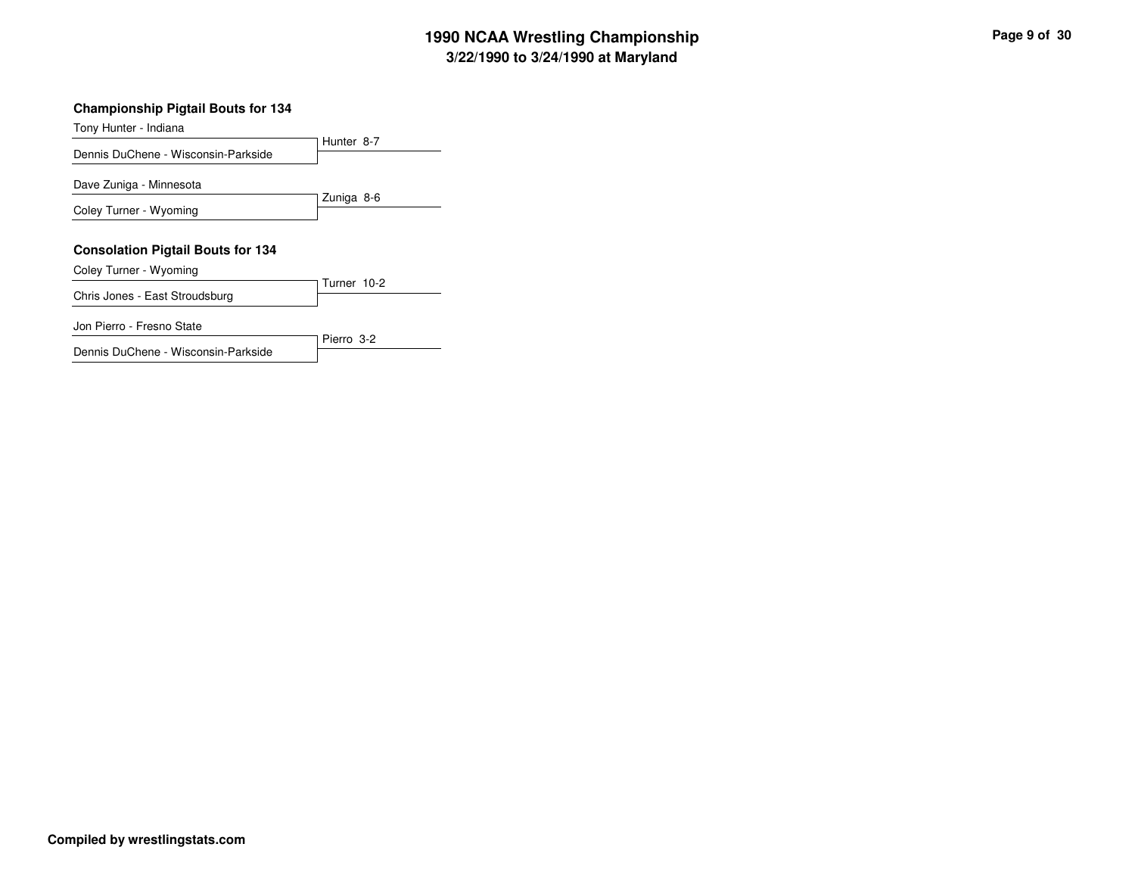### **Championship Pigtail Bouts for 134**

Dennis DuChene - Wisconsin-Parkside

| Tony Hunter - Indiana                    |             |
|------------------------------------------|-------------|
| Dennis DuChene - Wisconsin-Parkside      | Hunter 8-7  |
|                                          |             |
| Dave Zuniga - Minnesota                  | Zuniga 8-6  |
| Coley Turner - Wyoming                   |             |
|                                          |             |
| <b>Consolation Pigtail Bouts for 134</b> |             |
| Coley Turner - Wyoming                   |             |
| Chris Jones - East Stroudsburg           | Turner 10-2 |
| Jon Pierro - Fresno State                | Pierro 3-2  |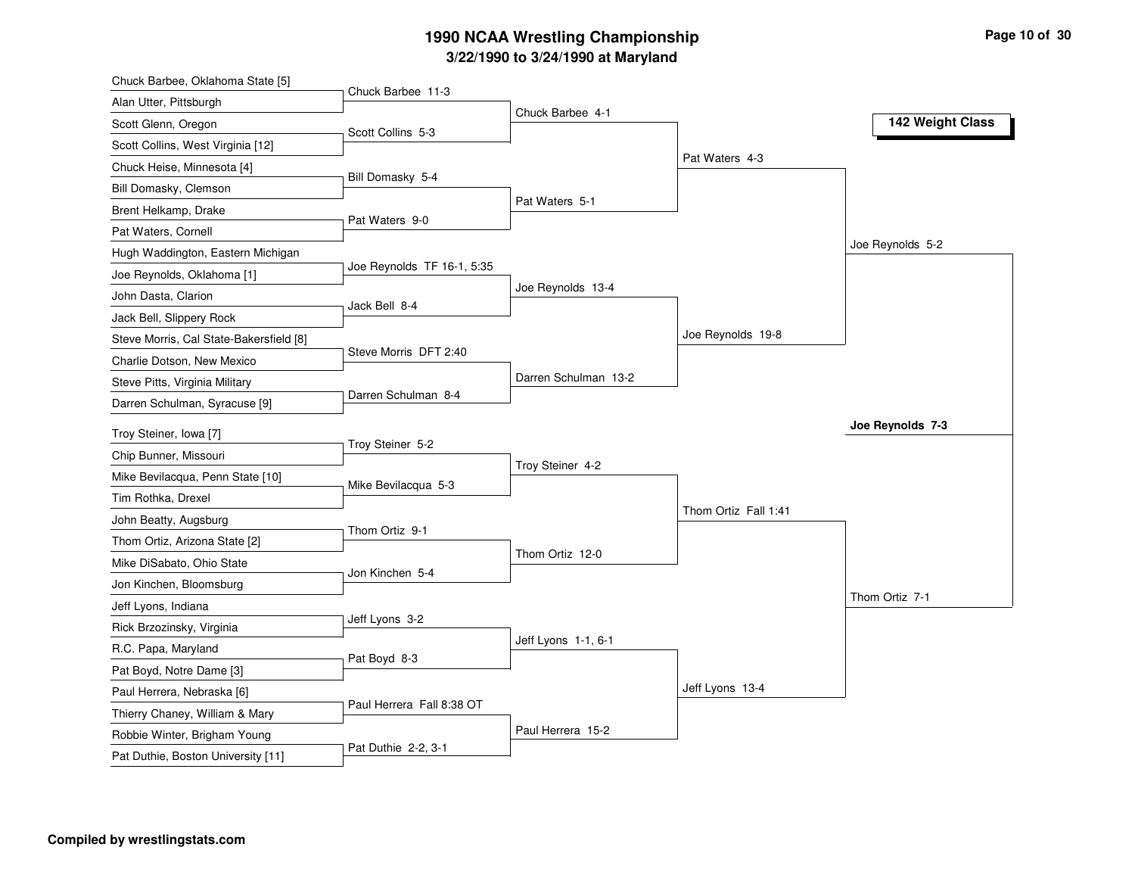| Chuck Barbee, Oklahoma State [5]        |                            |                      |                      |                  |
|-----------------------------------------|----------------------------|----------------------|----------------------|------------------|
| Alan Utter, Pittsburgh                  | Chuck Barbee 11-3          | Chuck Barbee 4-1     |                      |                  |
| Scott Glenn, Oregon                     | Scott Collins 5-3          |                      |                      | 142 Weight Class |
| Scott Collins, West Virginia [12]       |                            |                      |                      |                  |
| Chuck Heise, Minnesota [4]              |                            |                      | Pat Waters 4-3       |                  |
| Bill Domasky, Clemson                   | Bill Domasky 5-4           |                      |                      |                  |
| Brent Helkamp, Drake                    |                            | Pat Waters 5-1       |                      |                  |
| Pat Waters, Cornell                     | Pat Waters 9-0             |                      |                      |                  |
| Hugh Waddington, Eastern Michigan       |                            |                      |                      | Joe Reynolds 5-2 |
| Joe Reynolds, Oklahoma [1]              | Joe Reynolds TF 16-1, 5:35 |                      |                      |                  |
| John Dasta, Clarion                     |                            | Joe Reynolds 13-4    |                      |                  |
| Jack Bell, Slippery Rock                | Jack Bell 8-4              |                      |                      |                  |
| Steve Morris, Cal State-Bakersfield [8] |                            |                      | Joe Reynolds 19-8    |                  |
| Charlie Dotson, New Mexico              | Steve Morris DFT 2:40      |                      |                      |                  |
| Steve Pitts, Virginia Military          |                            | Darren Schulman 13-2 |                      |                  |
| Darren Schulman, Syracuse [9]           | Darren Schulman 8-4        |                      |                      |                  |
| Troy Steiner, Iowa [7]                  |                            |                      |                      | Joe Reynolds 7-3 |
| Chip Bunner, Missouri                   | Troy Steiner 5-2           |                      |                      |                  |
| Mike Bevilacqua, Penn State [10]        |                            | Troy Steiner 4-2     |                      |                  |
| Tim Rothka, Drexel                      | Mike Bevilacqua 5-3        |                      |                      |                  |
| John Beatty, Augsburg                   |                            |                      | Thom Ortiz Fall 1:41 |                  |
| Thom Ortiz, Arizona State [2]           | Thom Ortiz 9-1             |                      |                      |                  |
| Mike DiSabato, Ohio State               |                            | Thom Ortiz 12-0      |                      |                  |
| Jon Kinchen, Bloomsburg                 | Jon Kinchen 5-4            |                      |                      |                  |
| Jeff Lyons, Indiana                     |                            |                      |                      | Thom Ortiz 7-1   |
| Rick Brzozinsky, Virginia               | Jeff Lyons 3-2             |                      |                      |                  |
| R.C. Papa, Maryland                     |                            | Jeff Lyons 1-1, 6-1  |                      |                  |
| Pat Boyd, Notre Dame [3]                | Pat Boyd 8-3               |                      |                      |                  |
| Paul Herrera, Nebraska [6]              |                            |                      | Jeff Lyons 13-4      |                  |
| Thierry Chaney, William & Mary          | Paul Herrera Fall 8:38 OT  |                      |                      |                  |
|                                         |                            |                      |                      |                  |
| Robbie Winter, Brigham Young            |                            | Paul Herrera 15-2    |                      |                  |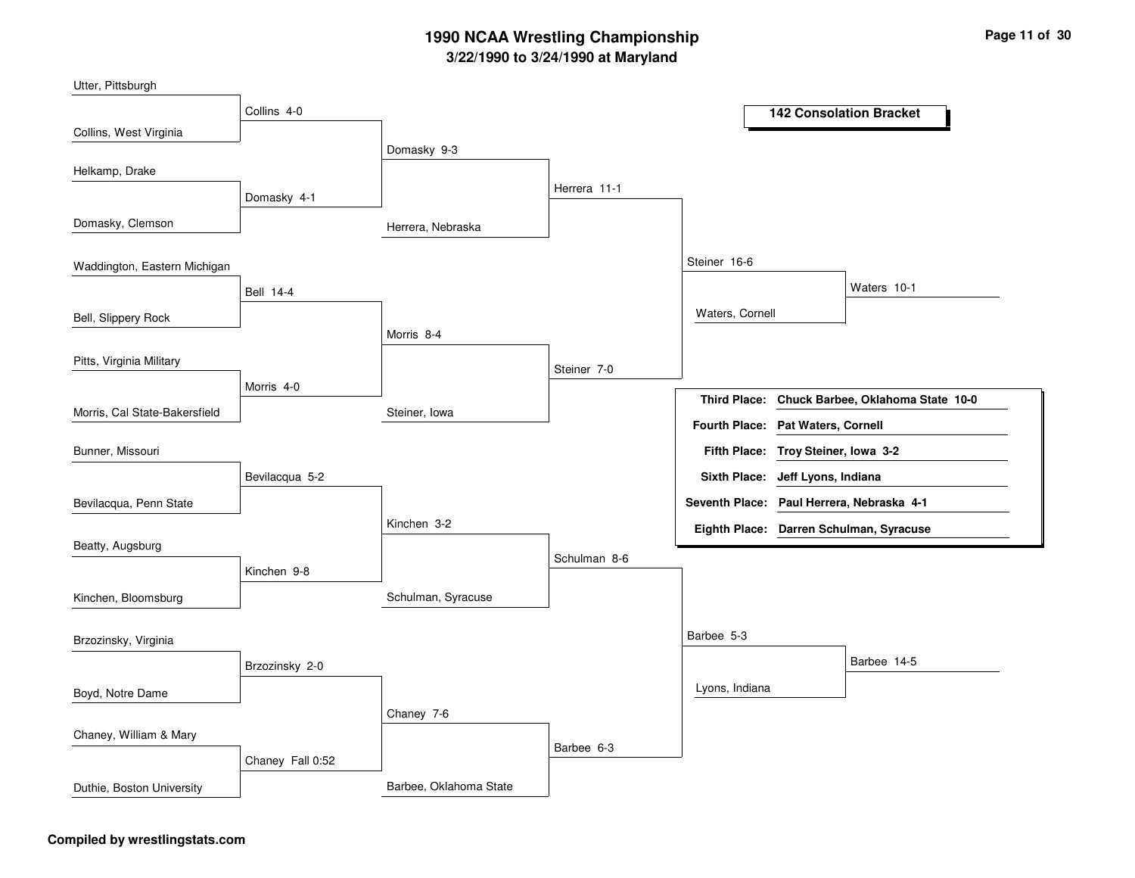| Utter, Pittsburgh             |                       |                        |              |                                           |                     |                                         |
|-------------------------------|-----------------------|------------------------|--------------|-------------------------------------------|---------------------|-----------------------------------------|
|                               | Collins 4-0           |                        |              |                                           |                     | <b>142 Consolation Bracket</b>          |
| Collins, West Virginia        |                       | Domasky 9-3            |              |                                           |                     |                                         |
| Helkamp, Drake                |                       |                        |              |                                           |                     |                                         |
|                               | Domasky 4-1           |                        | Herrera 11-1 |                                           |                     |                                         |
| Domasky, Clemson              |                       | Herrera, Nebraska      |              |                                           |                     |                                         |
| Waddington, Eastern Michigan  |                       |                        |              | Steiner 16-6                              |                     |                                         |
|                               | <b>Bell 14-4</b>      |                        |              |                                           |                     | Waters 10-1                             |
| Bell, Slippery Rock           |                       |                        |              | Waters, Cornell                           |                     |                                         |
|                               |                       | Morris 8-4             |              |                                           |                     |                                         |
| Pitts, Virginia Military      |                       |                        | Steiner 7-0  |                                           |                     |                                         |
|                               | Morris <sub>4-0</sub> |                        |              | <b>Third Place:</b>                       |                     | Chuck Barbee, Oklahoma State 10-0       |
| Morris, Cal State-Bakersfield |                       | Steiner, Iowa          |              | Fourth Place: Pat Waters, Cornell         |                     |                                         |
| Bunner, Missouri              |                       |                        |              | Fifth Place: Troy Steiner, Iowa 3-2       |                     |                                         |
|                               | Bevilacqua 5-2        |                        |              | <b>Sixth Place:</b>                       | Jeff Lyons, Indiana |                                         |
| Bevilacqua, Penn State        |                       |                        |              | Seventh Place: Paul Herrera, Nebraska 4-1 |                     |                                         |
|                               |                       | Kinchen 3-2            |              |                                           |                     | Eighth Place: Darren Schulman, Syracuse |
| Beatty, Augsburg              | Kinchen 9-8           |                        | Schulman 8-6 |                                           |                     |                                         |
| Kinchen, Bloomsburg           |                       | Schulman, Syracuse     |              |                                           |                     |                                         |
| Brzozinsky, Virginia          |                       |                        |              | Barbee 5-3                                |                     |                                         |
|                               | Brzozinsky 2-0        |                        |              |                                           |                     | Barbee 14-5                             |
| Boyd, Notre Dame              |                       |                        |              | Lyons, Indiana                            |                     |                                         |
|                               |                       | Chaney 7-6             |              |                                           |                     |                                         |
| Chaney, William & Mary        |                       |                        | Barbee 6-3   |                                           |                     |                                         |
|                               | Chaney Fall 0:52      |                        |              |                                           |                     |                                         |
| Duthie, Boston University     |                       | Barbee, Oklahoma State |              |                                           |                     |                                         |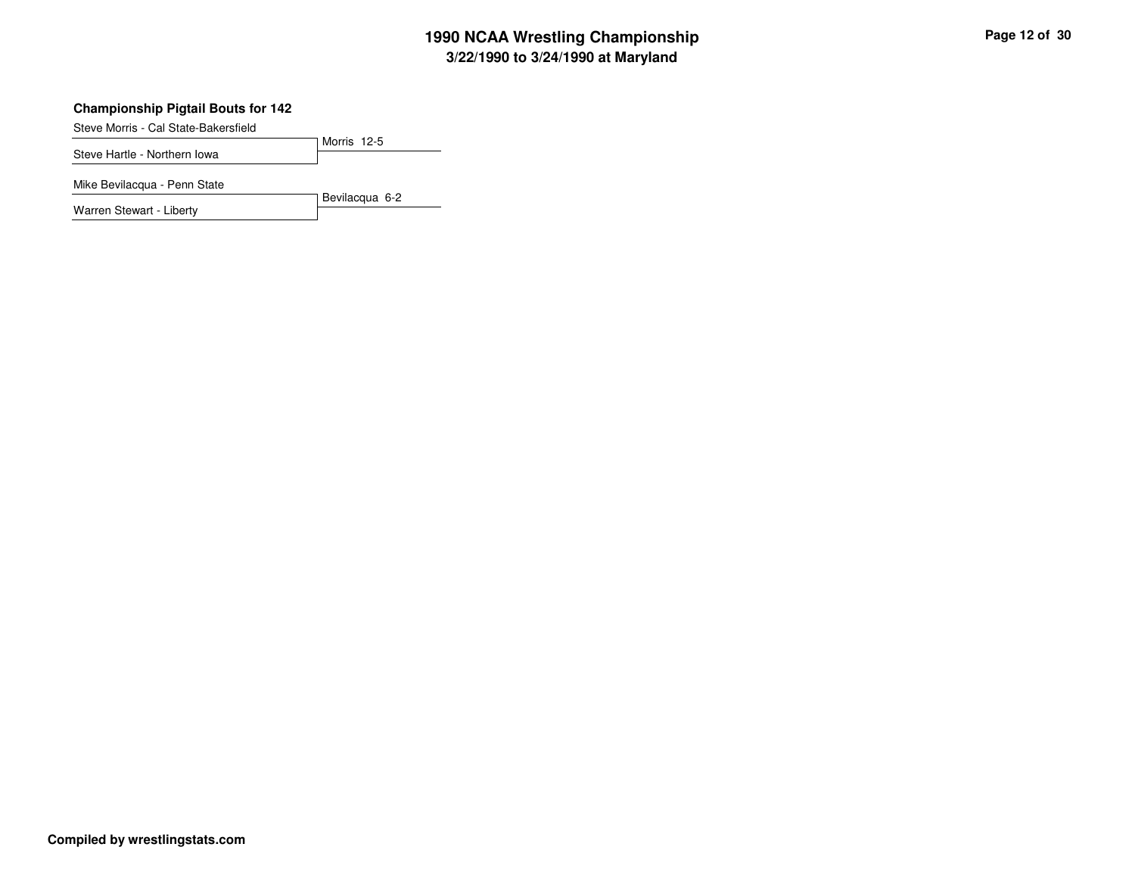### **Championship Pigtail Bouts for 142**

Steve Morris - Cal State-Bakersfield

Morris 12-5Steve Hartle - Northern Iowa

Mike Bevilacqua - Penn State

Warren Stewart - Liberty

Bevilacqua 6-2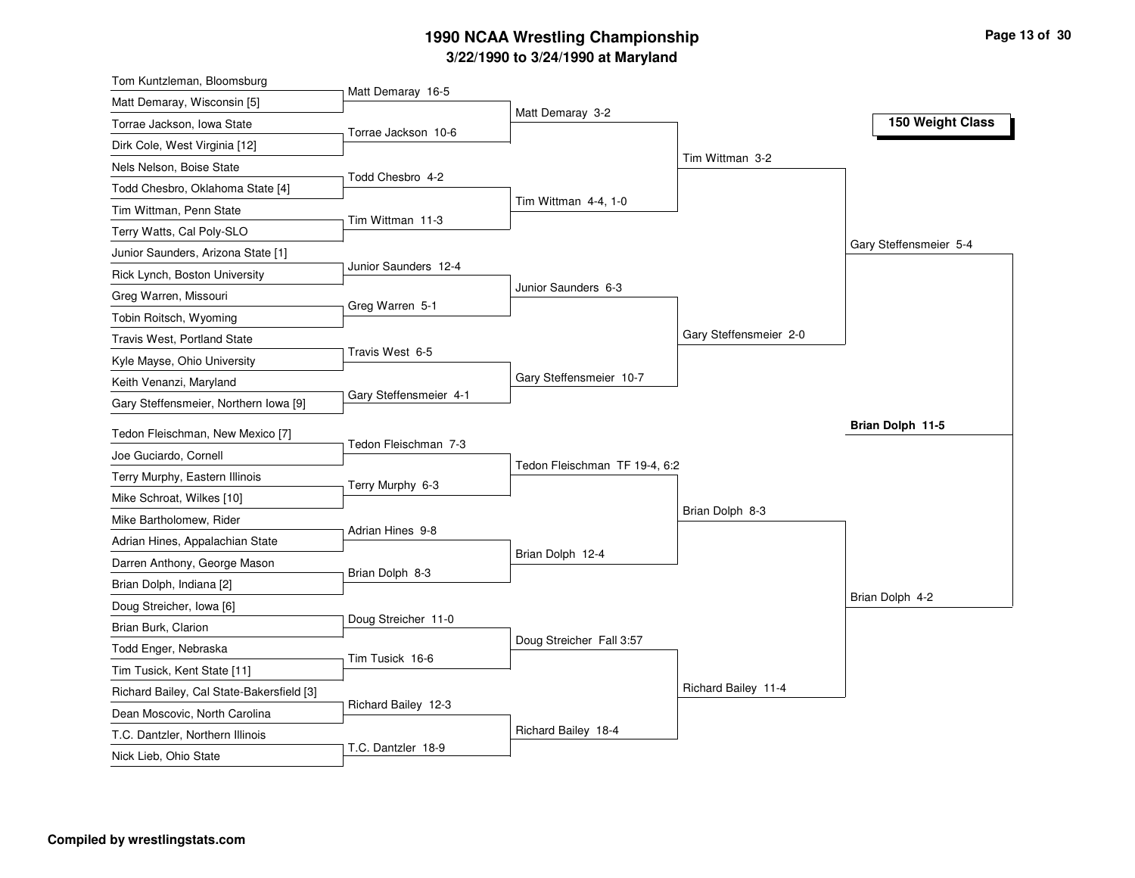| Tom Kuntzleman, Bloomsburg                                        |                        |                               |                        |                        |
|-------------------------------------------------------------------|------------------------|-------------------------------|------------------------|------------------------|
| Matt Demaray, Wisconsin [5]                                       | Matt Demaray 16-5      |                               |                        |                        |
| Torrae Jackson, Iowa State                                        | Torrae Jackson 10-6    | Matt Demaray 3-2              |                        | 150 Weight Class       |
| Dirk Cole, West Virginia [12]                                     |                        |                               |                        |                        |
| Nels Nelson, Boise State                                          |                        |                               | Tim Wittman 3-2        |                        |
| Todd Chesbro, Oklahoma State [4]                                  | Todd Chesbro 4-2       |                               |                        |                        |
| Tim Wittman, Penn State                                           |                        | Tim Wittman 4-4, 1-0          |                        |                        |
| Terry Watts, Cal Poly-SLO                                         | Tim Wittman 11-3       |                               |                        |                        |
| Junior Saunders, Arizona State [1]                                |                        |                               |                        | Gary Steffensmeier 5-4 |
| Rick Lynch, Boston University                                     | Junior Saunders 12-4   |                               |                        |                        |
| Greg Warren, Missouri                                             |                        | Junior Saunders 6-3           |                        |                        |
| Tobin Roitsch, Wyoming                                            | Greg Warren 5-1        |                               |                        |                        |
| <b>Travis West, Portland State</b>                                |                        |                               | Gary Steffensmeier 2-0 |                        |
| Kyle Mayse, Ohio University                                       | Travis West 6-5        |                               |                        |                        |
| Keith Venanzi, Maryland                                           |                        | Gary Steffensmeier 10-7       |                        |                        |
| Gary Steffensmeier, Northern Iowa [9]                             | Gary Steffensmeier 4-1 |                               |                        |                        |
| Tedon Fleischman, New Mexico [7]                                  |                        |                               |                        | Brian Dolph 11-5       |
| Joe Guciardo, Cornell                                             | Tedon Fleischman 7-3   |                               |                        |                        |
| Terry Murphy, Eastern Illinois                                    |                        | Tedon Fleischman TF 19-4, 6:2 |                        |                        |
| Mike Schroat, Wilkes [10]                                         | Terry Murphy 6-3       |                               |                        |                        |
| Mike Bartholomew, Rider                                           |                        |                               | Brian Dolph 8-3        |                        |
| Adrian Hines, Appalachian State                                   |                        |                               |                        |                        |
|                                                                   | Adrian Hines 9-8       |                               |                        |                        |
|                                                                   |                        | Brian Dolph 12-4              |                        |                        |
| Darren Anthony, George Mason                                      | Brian Dolph 8-3        |                               |                        |                        |
| Brian Dolph, Indiana [2]                                          |                        |                               |                        | Brian Dolph 4-2        |
| Doug Streicher, Iowa [6]                                          | Doug Streicher 11-0    |                               |                        |                        |
| Brian Burk, Clarion                                               |                        | Doug Streicher Fall 3:57      |                        |                        |
| Todd Enger, Nebraska                                              | Tim Tusick 16-6        |                               |                        |                        |
| Tim Tusick, Kent State [11]                                       |                        |                               | Richard Bailey 11-4    |                        |
| Richard Bailey, Cal State-Bakersfield [3]                         | Richard Bailey 12-3    |                               |                        |                        |
| Dean Moscovic, North Carolina<br>T.C. Dantzler, Northern Illinois |                        | Richard Bailey 18-4           |                        |                        |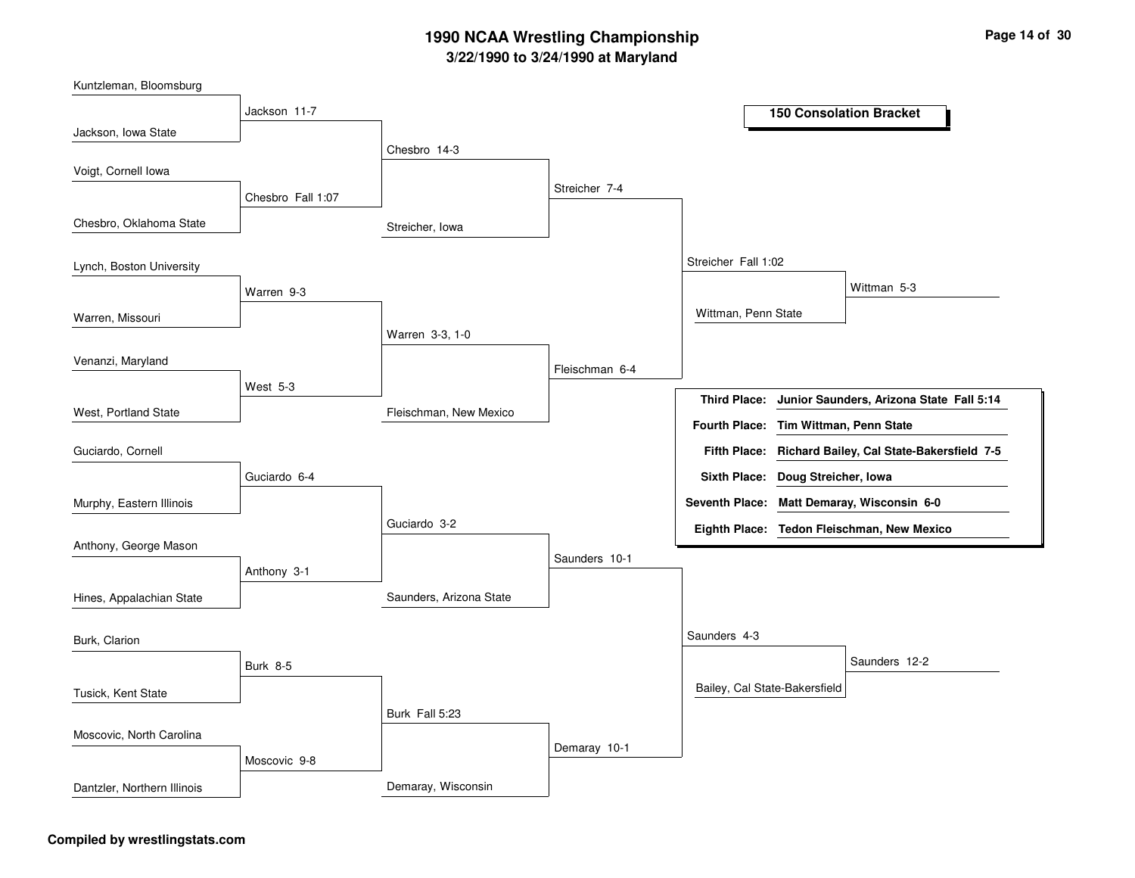| Kuntzleman, Bloomsburg      |                   |                         |                |                                                                 |
|-----------------------------|-------------------|-------------------------|----------------|-----------------------------------------------------------------|
|                             | Jackson 11-7      |                         |                | <b>150 Consolation Bracket</b>                                  |
| Jackson, Iowa State         |                   | Chesbro 14-3            |                |                                                                 |
| Voigt, Cornell Iowa         |                   |                         |                |                                                                 |
|                             | Chesbro Fall 1:07 |                         | Streicher 7-4  |                                                                 |
| Chesbro, Oklahoma State     |                   | Streicher, Iowa         |                |                                                                 |
| Lynch, Boston University    |                   |                         |                | Streicher Fall 1:02                                             |
|                             | Warren 9-3        |                         |                | Wittman 5-3                                                     |
| Warren, Missouri            |                   |                         |                | Wittman, Penn State                                             |
|                             |                   | Warren 3-3, 1-0         |                |                                                                 |
| Venanzi, Maryland           |                   |                         | Fleischman 6-4 |                                                                 |
|                             | West $5-3$        |                         |                | Junior Saunders, Arizona State Fall 5:14<br><b>Third Place:</b> |
| West, Portland State        |                   | Fleischman, New Mexico  |                | Fourth Place: Tim Wittman, Penn State                           |
| Guciardo, Cornell           |                   |                         |                | Fifth Place: Richard Bailey, Cal State-Bakersfield 7-5          |
|                             | Guciardo 6-4      |                         |                | Sixth Place: Doug Streicher, Iowa                               |
| Murphy, Eastern Illinois    |                   |                         |                | <b>Seventh Place:</b><br>Matt Demaray, Wisconsin 6-0            |
|                             |                   | Guciardo 3-2            |                | Eighth Place: Tedon Fleischman, New Mexico                      |
| Anthony, George Mason       |                   |                         | Saunders 10-1  |                                                                 |
|                             | Anthony 3-1       |                         |                |                                                                 |
| Hines, Appalachian State    |                   | Saunders, Arizona State |                |                                                                 |
| Burk, Clarion               |                   |                         |                | Saunders 4-3                                                    |
|                             | <b>Burk 8-5</b>   |                         |                | Saunders 12-2                                                   |
| Tusick, Kent State          |                   |                         |                | Bailey, Cal State-Bakersfield                                   |
|                             |                   | Burk Fall 5:23          |                |                                                                 |
| Moscovic, North Carolina    |                   |                         | Demaray 10-1   |                                                                 |
|                             | Moscovic 9-8      |                         |                |                                                                 |
| Dantzler, Northern Illinois |                   | Demaray, Wisconsin      |                |                                                                 |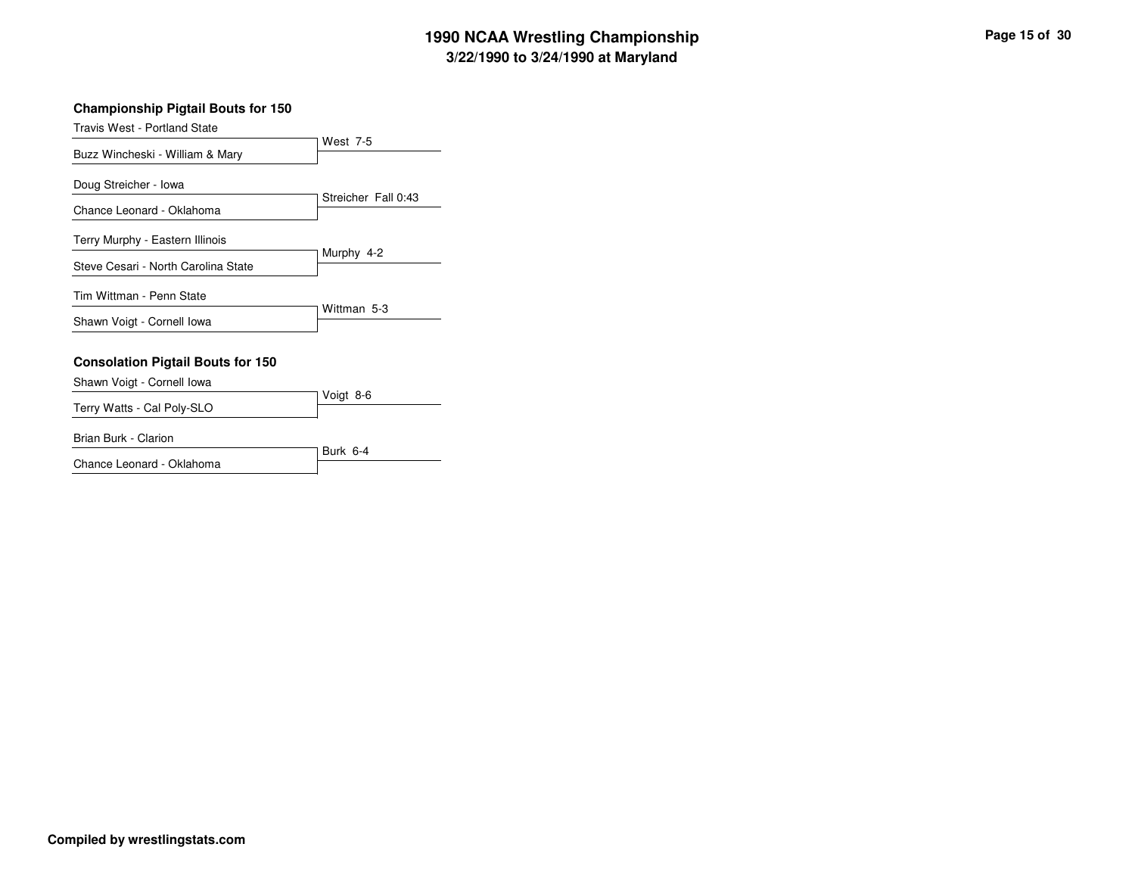### **Championship Pigtail Bouts for 150**

| <b>Travis West - Portland State</b>      |                     |
|------------------------------------------|---------------------|
|                                          | West 7-5            |
| Buzz Wincheski - William & Mary          |                     |
| Doug Streicher - Iowa                    |                     |
| Chance Leonard - Oklahoma                | Streicher Fall 0:43 |
| Terry Murphy - Eastern Illinois          |                     |
| Steve Cesari - North Carolina State      | Murphy 4-2          |
| Tim Wittman - Penn State                 |                     |
| Shawn Voigt - Cornell Iowa               | Wittman 5-3         |
| <b>Consolation Pigtail Bouts for 150</b> |                     |
| Shawn Voigt - Cornell Iowa               |                     |
| Terry Watts - Cal Poly-SLO               | Voigt 8-6           |
| Brian Burk - Clarion                     |                     |
|                                          | Burk 6-4            |

Chance Leonard - Oklahoma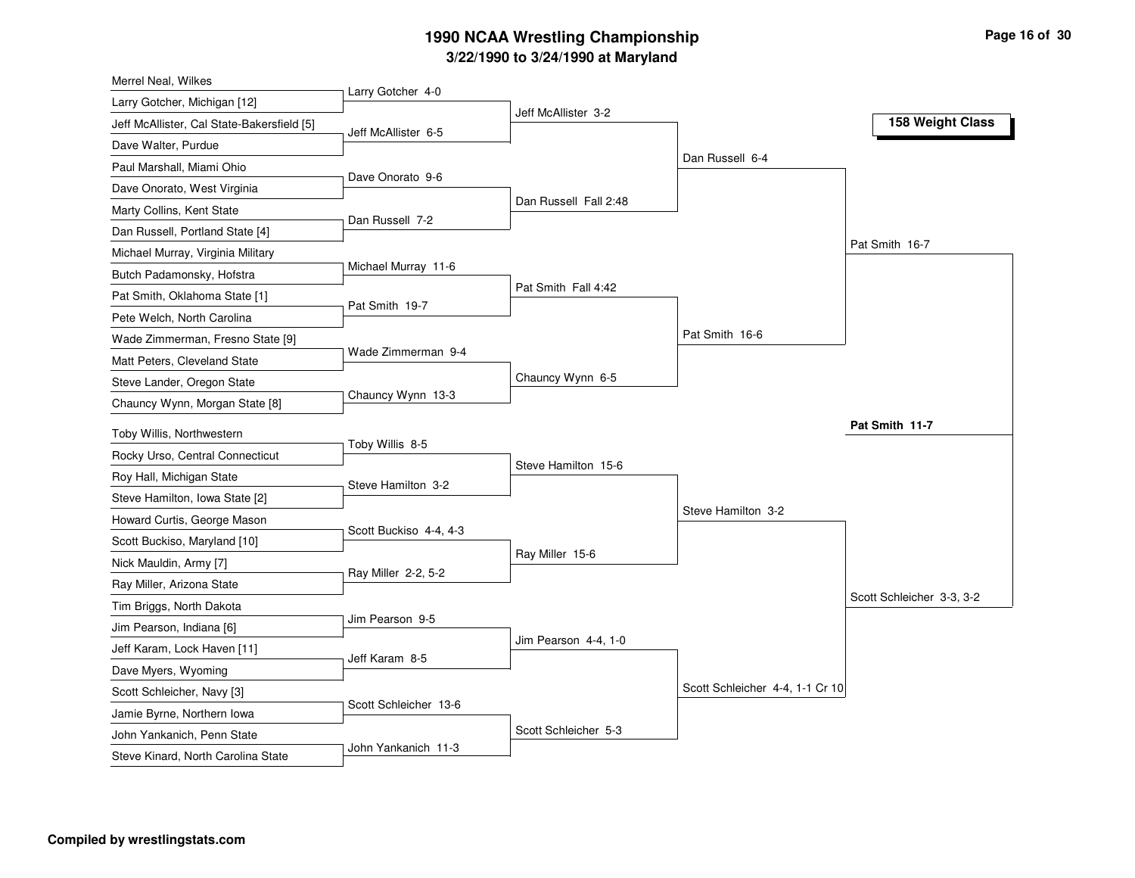| Larry Gotcher 4-0<br>Larry Gotcher, Michigan [12]<br>Jeff McAllister 3-2<br>Jeff McAllister, Cal State-Bakersfield [5]<br>Jeff McAllister 6-5<br>Dave Walter, Purdue<br>Dan Russell 6-4<br>Paul Marshall, Miami Ohio<br>Dave Onorato 9-6<br>Dave Onorato, West Virginia<br>Dan Russell Fall 2:48<br>Marty Collins, Kent State<br>Dan Russell 7-2<br>Dan Russell, Portland State [4]<br>Michael Murray, Virginia Military<br>Michael Murray 11-6<br>Butch Padamonsky, Hofstra<br>Pat Smith Fall 4:42<br>Pat Smith, Oklahoma State [1]<br>Pat Smith 19-7<br>Pete Welch, North Carolina<br>Pat Smith 16-6<br>Wade Zimmerman, Fresno State [9]<br>Wade Zimmerman 9-4<br>Matt Peters, Cleveland State<br>Chauncy Wynn 6-5<br>Steve Lander, Oregon State<br>Chauncy Wynn 13-3<br>Chauncy Wynn, Morgan State [8]<br>Toby Willis, Northwestern<br>Toby Willis 8-5<br>Rocky Urso, Central Connecticut<br>Steve Hamilton 15-6<br>Roy Hall, Michigan State<br>Steve Hamilton 3-2<br>Steve Hamilton, Iowa State [2]<br>Steve Hamilton 3-2<br>Howard Curtis, George Mason<br>Scott Buckiso 4-4, 4-3<br>Scott Buckiso, Maryland [10]<br>Ray Miller 15-6<br>Nick Mauldin, Army [7]<br>Ray Miller 2-2, 5-2 | 158 Weight Class<br>Pat Smith 16-7 |
|--------------------------------------------------------------------------------------------------------------------------------------------------------------------------------------------------------------------------------------------------------------------------------------------------------------------------------------------------------------------------------------------------------------------------------------------------------------------------------------------------------------------------------------------------------------------------------------------------------------------------------------------------------------------------------------------------------------------------------------------------------------------------------------------------------------------------------------------------------------------------------------------------------------------------------------------------------------------------------------------------------------------------------------------------------------------------------------------------------------------------------------------------------------------------------------------|------------------------------------|
|                                                                                                                                                                                                                                                                                                                                                                                                                                                                                                                                                                                                                                                                                                                                                                                                                                                                                                                                                                                                                                                                                                                                                                                            |                                    |
|                                                                                                                                                                                                                                                                                                                                                                                                                                                                                                                                                                                                                                                                                                                                                                                                                                                                                                                                                                                                                                                                                                                                                                                            |                                    |
|                                                                                                                                                                                                                                                                                                                                                                                                                                                                                                                                                                                                                                                                                                                                                                                                                                                                                                                                                                                                                                                                                                                                                                                            |                                    |
|                                                                                                                                                                                                                                                                                                                                                                                                                                                                                                                                                                                                                                                                                                                                                                                                                                                                                                                                                                                                                                                                                                                                                                                            |                                    |
|                                                                                                                                                                                                                                                                                                                                                                                                                                                                                                                                                                                                                                                                                                                                                                                                                                                                                                                                                                                                                                                                                                                                                                                            |                                    |
|                                                                                                                                                                                                                                                                                                                                                                                                                                                                                                                                                                                                                                                                                                                                                                                                                                                                                                                                                                                                                                                                                                                                                                                            |                                    |
|                                                                                                                                                                                                                                                                                                                                                                                                                                                                                                                                                                                                                                                                                                                                                                                                                                                                                                                                                                                                                                                                                                                                                                                            |                                    |
|                                                                                                                                                                                                                                                                                                                                                                                                                                                                                                                                                                                                                                                                                                                                                                                                                                                                                                                                                                                                                                                                                                                                                                                            |                                    |
|                                                                                                                                                                                                                                                                                                                                                                                                                                                                                                                                                                                                                                                                                                                                                                                                                                                                                                                                                                                                                                                                                                                                                                                            |                                    |
|                                                                                                                                                                                                                                                                                                                                                                                                                                                                                                                                                                                                                                                                                                                                                                                                                                                                                                                                                                                                                                                                                                                                                                                            |                                    |
|                                                                                                                                                                                                                                                                                                                                                                                                                                                                                                                                                                                                                                                                                                                                                                                                                                                                                                                                                                                                                                                                                                                                                                                            |                                    |
|                                                                                                                                                                                                                                                                                                                                                                                                                                                                                                                                                                                                                                                                                                                                                                                                                                                                                                                                                                                                                                                                                                                                                                                            |                                    |
|                                                                                                                                                                                                                                                                                                                                                                                                                                                                                                                                                                                                                                                                                                                                                                                                                                                                                                                                                                                                                                                                                                                                                                                            |                                    |
|                                                                                                                                                                                                                                                                                                                                                                                                                                                                                                                                                                                                                                                                                                                                                                                                                                                                                                                                                                                                                                                                                                                                                                                            |                                    |
|                                                                                                                                                                                                                                                                                                                                                                                                                                                                                                                                                                                                                                                                                                                                                                                                                                                                                                                                                                                                                                                                                                                                                                                            |                                    |
|                                                                                                                                                                                                                                                                                                                                                                                                                                                                                                                                                                                                                                                                                                                                                                                                                                                                                                                                                                                                                                                                                                                                                                                            | Pat Smith 11-7                     |
|                                                                                                                                                                                                                                                                                                                                                                                                                                                                                                                                                                                                                                                                                                                                                                                                                                                                                                                                                                                                                                                                                                                                                                                            |                                    |
|                                                                                                                                                                                                                                                                                                                                                                                                                                                                                                                                                                                                                                                                                                                                                                                                                                                                                                                                                                                                                                                                                                                                                                                            |                                    |
|                                                                                                                                                                                                                                                                                                                                                                                                                                                                                                                                                                                                                                                                                                                                                                                                                                                                                                                                                                                                                                                                                                                                                                                            |                                    |
|                                                                                                                                                                                                                                                                                                                                                                                                                                                                                                                                                                                                                                                                                                                                                                                                                                                                                                                                                                                                                                                                                                                                                                                            |                                    |
|                                                                                                                                                                                                                                                                                                                                                                                                                                                                                                                                                                                                                                                                                                                                                                                                                                                                                                                                                                                                                                                                                                                                                                                            |                                    |
|                                                                                                                                                                                                                                                                                                                                                                                                                                                                                                                                                                                                                                                                                                                                                                                                                                                                                                                                                                                                                                                                                                                                                                                            |                                    |
| Ray Miller, Arizona State                                                                                                                                                                                                                                                                                                                                                                                                                                                                                                                                                                                                                                                                                                                                                                                                                                                                                                                                                                                                                                                                                                                                                                  |                                    |
| Tim Briggs, North Dakota                                                                                                                                                                                                                                                                                                                                                                                                                                                                                                                                                                                                                                                                                                                                                                                                                                                                                                                                                                                                                                                                                                                                                                   | Scott Schleicher 3-3, 3-2          |
| Jim Pearson 9-5<br>Jim Pearson, Indiana [6]                                                                                                                                                                                                                                                                                                                                                                                                                                                                                                                                                                                                                                                                                                                                                                                                                                                                                                                                                                                                                                                                                                                                                |                                    |
| Jim Pearson 4-4, 1-0<br>Jeff Karam, Lock Haven [11]                                                                                                                                                                                                                                                                                                                                                                                                                                                                                                                                                                                                                                                                                                                                                                                                                                                                                                                                                                                                                                                                                                                                        |                                    |
| Jeff Karam 8-5<br>Dave Myers, Wyoming                                                                                                                                                                                                                                                                                                                                                                                                                                                                                                                                                                                                                                                                                                                                                                                                                                                                                                                                                                                                                                                                                                                                                      |                                    |
| Scott Schleicher 4-4, 1-1 Cr 10                                                                                                                                                                                                                                                                                                                                                                                                                                                                                                                                                                                                                                                                                                                                                                                                                                                                                                                                                                                                                                                                                                                                                            |                                    |
| Scott Schleicher, Navy [3]<br>Scott Schleicher 13-6<br>Jamie Byrne, Northern Iowa                                                                                                                                                                                                                                                                                                                                                                                                                                                                                                                                                                                                                                                                                                                                                                                                                                                                                                                                                                                                                                                                                                          |                                    |
| Scott Schleicher 5-3<br>John Yankanich, Penn State                                                                                                                                                                                                                                                                                                                                                                                                                                                                                                                                                                                                                                                                                                                                                                                                                                                                                                                                                                                                                                                                                                                                         |                                    |
| John Yankanich 11-3<br>Steve Kinard, North Carolina State                                                                                                                                                                                                                                                                                                                                                                                                                                                                                                                                                                                                                                                                                                                                                                                                                                                                                                                                                                                                                                                                                                                                  |                                    |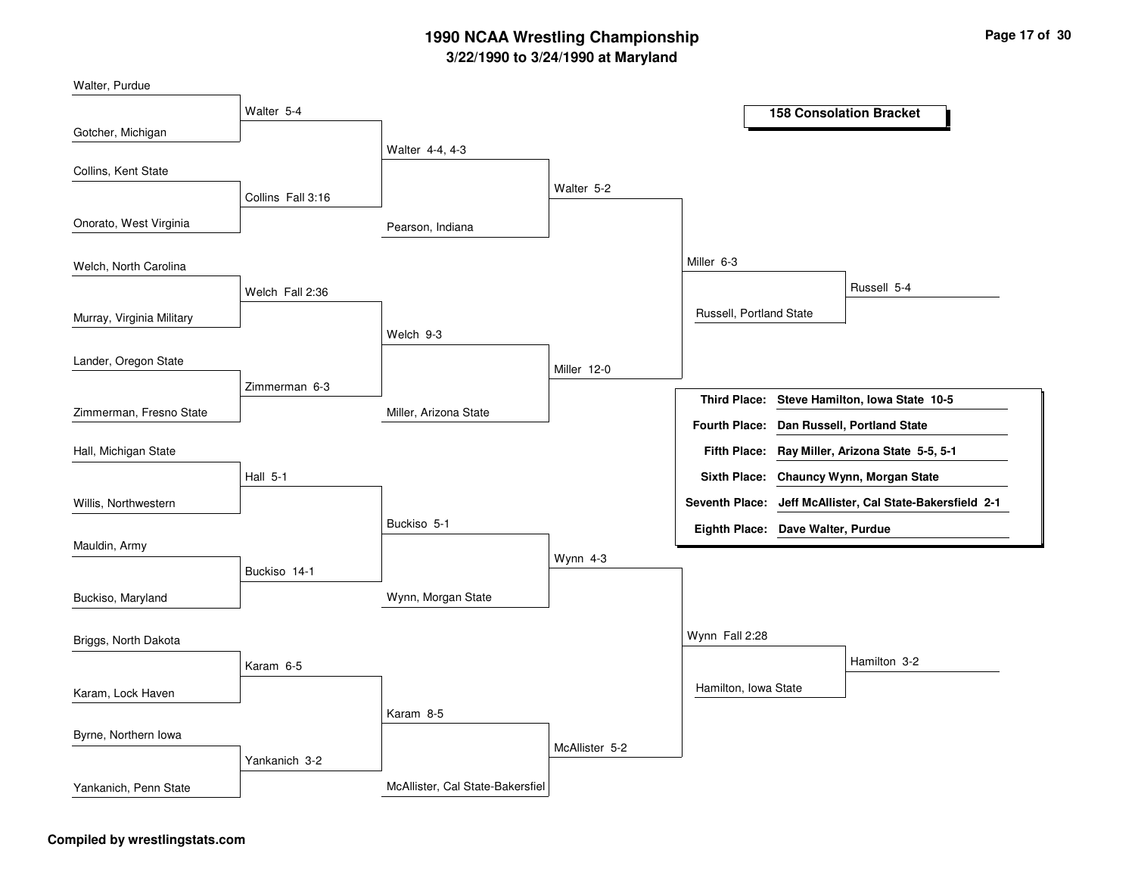| Walter, Purdue            |                   |                                  |                |                         |                                                           |
|---------------------------|-------------------|----------------------------------|----------------|-------------------------|-----------------------------------------------------------|
|                           | Walter 5-4        |                                  |                |                         | <b>158 Consolation Bracket</b>                            |
| Gotcher, Michigan         |                   |                                  |                |                         |                                                           |
|                           |                   | Walter 4-4, 4-3                  |                |                         |                                                           |
| Collins, Kent State       |                   |                                  |                |                         |                                                           |
|                           | Collins Fall 3:16 |                                  | Walter 5-2     |                         |                                                           |
| Onorato, West Virginia    |                   | Pearson, Indiana                 |                |                         |                                                           |
| Welch, North Carolina     |                   |                                  |                | Miller 6-3              |                                                           |
|                           | Welch Fall 2:36   |                                  |                |                         | Russell 5-4                                               |
| Murray, Virginia Military |                   |                                  |                | Russell, Portland State |                                                           |
|                           |                   | Welch 9-3                        |                |                         |                                                           |
| Lander, Oregon State      |                   |                                  | Miller 12-0    |                         |                                                           |
|                           | Zimmerman 6-3     |                                  |                | <b>Third Place:</b>     | Steve Hamilton, Iowa State 10-5                           |
| Zimmerman, Fresno State   |                   | Miller, Arizona State            |                |                         | Fourth Place: Dan Russell, Portland State                 |
| Hall, Michigan State      |                   |                                  |                |                         | Fifth Place: Ray Miller, Arizona State 5-5, 5-1           |
|                           | <b>Hall 5-1</b>   |                                  |                |                         | Sixth Place: Chauncy Wynn, Morgan State                   |
| Willis, Northwestern      |                   |                                  |                |                         | Seventh Place: Jeff McAllister, Cal State-Bakersfield 2-1 |
|                           |                   | Buckiso 5-1                      |                |                         | Eighth Place: Dave Walter, Purdue                         |
| Mauldin, Army             |                   |                                  | Wynn 4-3       |                         |                                                           |
|                           | Buckiso 14-1      |                                  |                |                         |                                                           |
| Buckiso, Maryland         |                   | Wynn, Morgan State               |                |                         |                                                           |
| Briggs, North Dakota      |                   |                                  |                | Wynn Fall 2:28          |                                                           |
|                           | Karam 6-5         |                                  |                |                         | Hamilton 3-2                                              |
| Karam, Lock Haven         |                   |                                  |                | Hamilton, Iowa State    |                                                           |
|                           |                   | Karam 8-5                        |                |                         |                                                           |
| Byrne, Northern Iowa      |                   |                                  |                |                         |                                                           |
|                           | Yankanich 3-2     |                                  | McAllister 5-2 |                         |                                                           |
| Yankanich, Penn State     |                   | McAllister, Cal State-Bakersfiel |                |                         |                                                           |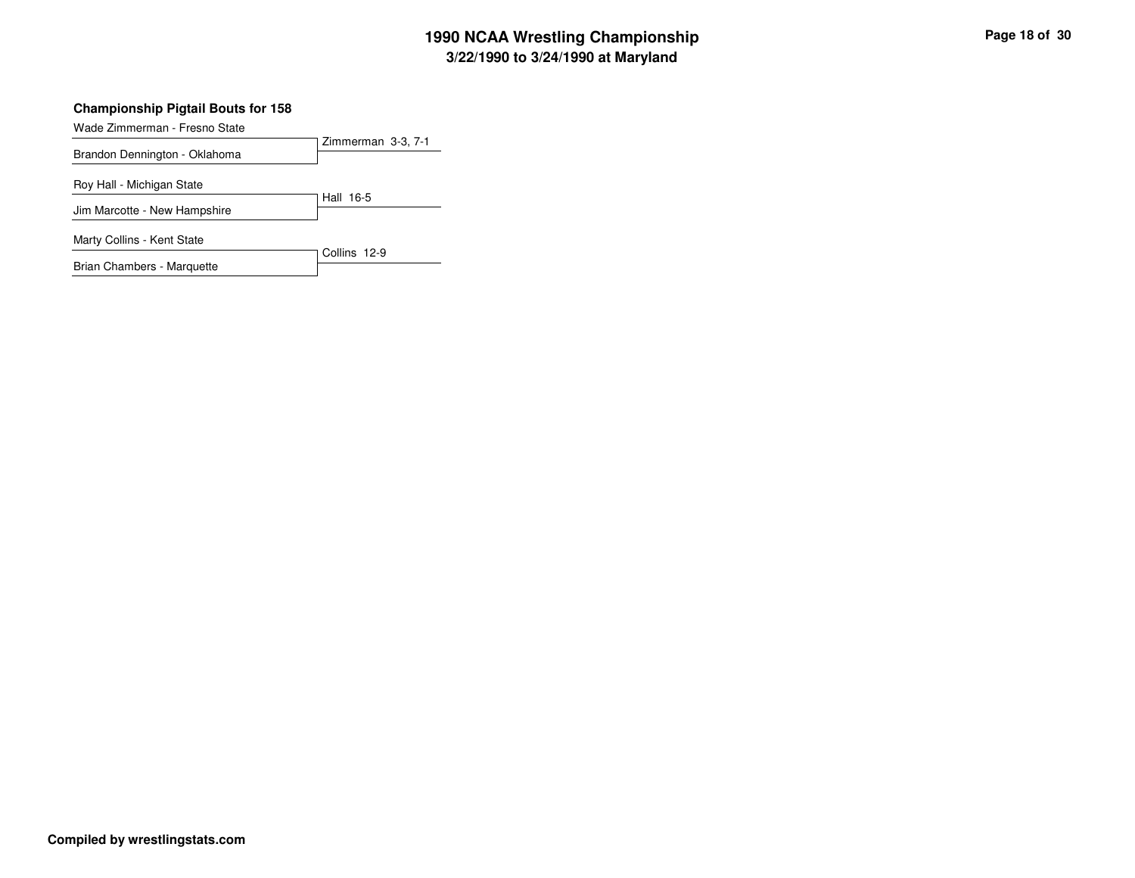### **Championship Pigtail Bouts for 158**

Wade Zimmerman - Fresno State

| $\alpha$                      | Zimmerman 3-3, 7-1 |
|-------------------------------|--------------------|
| Brandon Dennington - Oklahoma |                    |
| Roy Hall - Michigan State     |                    |
| Jim Marcotte - New Hampshire  | Hall 16-5          |
| Marty Collins - Kent State    |                    |
| Brian Chambers - Marquette    | Collins 12-9       |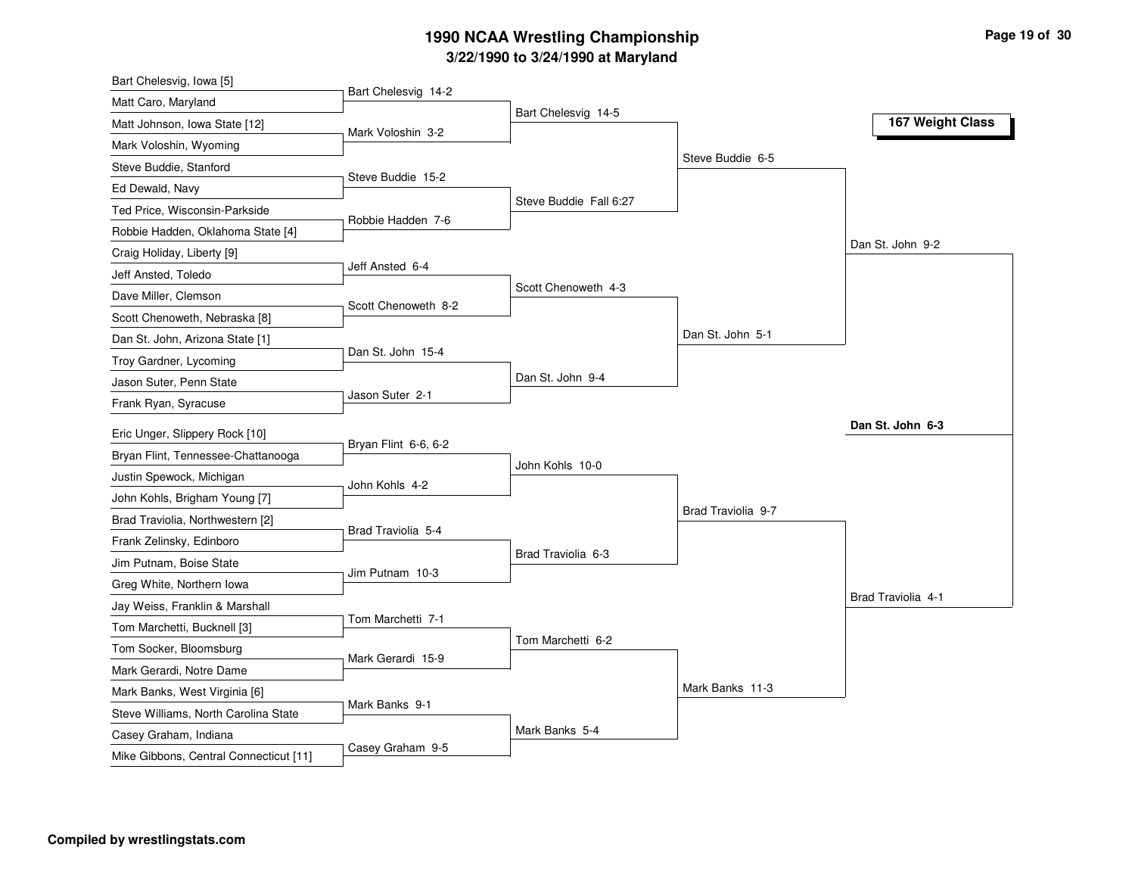| Matt Caro, Maryland<br>Bart Chelesvig 14-5<br>167 Weight Class<br>Matt Johnson, Iowa State [12]<br>Mark Voloshin 3-2<br>Mark Voloshin, Wyoming<br>Steve Buddie 6-5<br>Steve Buddie, Stanford<br>Steve Buddie 15-2<br>Ed Dewald, Navy<br>Steve Buddie Fall 6:27<br>Ted Price, Wisconsin-Parkside<br>Robbie Hadden 7-6<br>Robbie Hadden, Oklahoma State [4]<br>Dan St. John 9-2<br>Craig Holiday, Liberty [9]<br>Jeff Ansted 6-4<br>Jeff Ansted, Toledo<br>Scott Chenoweth 4-3<br>Dave Miller, Clemson<br>Scott Chenoweth 8-2<br>Scott Chenoweth, Nebraska [8]<br>Dan St. John 5-1<br>Dan St. John 15-4<br>Troy Gardner, Lycoming<br>Dan St. John 9-4<br>Jason Suter, Penn State<br>Jason Suter 2-1<br>Dan St. John 6-3<br>Eric Unger, Slippery Rock [10]<br>Bryan Flint 6-6, 6-2<br>Bryan Flint, Tennessee-Chattanooga<br>John Kohls 10-0<br>Justin Spewock, Michigan<br>John Kohls 4-2<br>John Kohls, Brigham Young [7]<br>Brad Traviolia 9-7<br>Brad Traviolia, Northwestern [2]<br>Brad Traviolia 5-4<br>Frank Zelinsky, Edinboro<br>Brad Traviolia 6-3<br>Jim Putnam, Boise State<br>Jim Putnam 10-3<br>Greg White, Northern Iowa<br>Brad Traviolia 4-1<br>Jay Weiss, Franklin & Marshall<br>Tom Marchetti 7-1<br>Tom Marchetti, Bucknell [3]<br>Tom Marchetti 6-2<br>Tom Socker, Bloomsburg<br>Mark Gerardi 15-9<br>Mark Gerardi, Notre Dame<br>Mark Banks 11-3<br>Mark Banks, West Virginia [6]<br>Mark Banks 9-1<br>Steve Williams, North Carolina State | Bart Chelesvig, Iowa [5]        |                     |                |  |
|----------------------------------------------------------------------------------------------------------------------------------------------------------------------------------------------------------------------------------------------------------------------------------------------------------------------------------------------------------------------------------------------------------------------------------------------------------------------------------------------------------------------------------------------------------------------------------------------------------------------------------------------------------------------------------------------------------------------------------------------------------------------------------------------------------------------------------------------------------------------------------------------------------------------------------------------------------------------------------------------------------------------------------------------------------------------------------------------------------------------------------------------------------------------------------------------------------------------------------------------------------------------------------------------------------------------------------------------------------------------------------------------------------------------------------------------------------------|---------------------------------|---------------------|----------------|--|
|                                                                                                                                                                                                                                                                                                                                                                                                                                                                                                                                                                                                                                                                                                                                                                                                                                                                                                                                                                                                                                                                                                                                                                                                                                                                                                                                                                                                                                                                |                                 | Bart Chelesvig 14-2 |                |  |
|                                                                                                                                                                                                                                                                                                                                                                                                                                                                                                                                                                                                                                                                                                                                                                                                                                                                                                                                                                                                                                                                                                                                                                                                                                                                                                                                                                                                                                                                |                                 |                     |                |  |
|                                                                                                                                                                                                                                                                                                                                                                                                                                                                                                                                                                                                                                                                                                                                                                                                                                                                                                                                                                                                                                                                                                                                                                                                                                                                                                                                                                                                                                                                |                                 |                     |                |  |
|                                                                                                                                                                                                                                                                                                                                                                                                                                                                                                                                                                                                                                                                                                                                                                                                                                                                                                                                                                                                                                                                                                                                                                                                                                                                                                                                                                                                                                                                |                                 |                     |                |  |
|                                                                                                                                                                                                                                                                                                                                                                                                                                                                                                                                                                                                                                                                                                                                                                                                                                                                                                                                                                                                                                                                                                                                                                                                                                                                                                                                                                                                                                                                |                                 |                     |                |  |
|                                                                                                                                                                                                                                                                                                                                                                                                                                                                                                                                                                                                                                                                                                                                                                                                                                                                                                                                                                                                                                                                                                                                                                                                                                                                                                                                                                                                                                                                |                                 |                     |                |  |
|                                                                                                                                                                                                                                                                                                                                                                                                                                                                                                                                                                                                                                                                                                                                                                                                                                                                                                                                                                                                                                                                                                                                                                                                                                                                                                                                                                                                                                                                |                                 |                     |                |  |
|                                                                                                                                                                                                                                                                                                                                                                                                                                                                                                                                                                                                                                                                                                                                                                                                                                                                                                                                                                                                                                                                                                                                                                                                                                                                                                                                                                                                                                                                |                                 |                     |                |  |
|                                                                                                                                                                                                                                                                                                                                                                                                                                                                                                                                                                                                                                                                                                                                                                                                                                                                                                                                                                                                                                                                                                                                                                                                                                                                                                                                                                                                                                                                |                                 |                     |                |  |
|                                                                                                                                                                                                                                                                                                                                                                                                                                                                                                                                                                                                                                                                                                                                                                                                                                                                                                                                                                                                                                                                                                                                                                                                                                                                                                                                                                                                                                                                |                                 |                     |                |  |
|                                                                                                                                                                                                                                                                                                                                                                                                                                                                                                                                                                                                                                                                                                                                                                                                                                                                                                                                                                                                                                                                                                                                                                                                                                                                                                                                                                                                                                                                |                                 |                     |                |  |
|                                                                                                                                                                                                                                                                                                                                                                                                                                                                                                                                                                                                                                                                                                                                                                                                                                                                                                                                                                                                                                                                                                                                                                                                                                                                                                                                                                                                                                                                | Dan St. John, Arizona State [1] |                     |                |  |
|                                                                                                                                                                                                                                                                                                                                                                                                                                                                                                                                                                                                                                                                                                                                                                                                                                                                                                                                                                                                                                                                                                                                                                                                                                                                                                                                                                                                                                                                |                                 |                     |                |  |
|                                                                                                                                                                                                                                                                                                                                                                                                                                                                                                                                                                                                                                                                                                                                                                                                                                                                                                                                                                                                                                                                                                                                                                                                                                                                                                                                                                                                                                                                |                                 |                     |                |  |
|                                                                                                                                                                                                                                                                                                                                                                                                                                                                                                                                                                                                                                                                                                                                                                                                                                                                                                                                                                                                                                                                                                                                                                                                                                                                                                                                                                                                                                                                | Frank Ryan, Syracuse            |                     |                |  |
|                                                                                                                                                                                                                                                                                                                                                                                                                                                                                                                                                                                                                                                                                                                                                                                                                                                                                                                                                                                                                                                                                                                                                                                                                                                                                                                                                                                                                                                                |                                 |                     |                |  |
|                                                                                                                                                                                                                                                                                                                                                                                                                                                                                                                                                                                                                                                                                                                                                                                                                                                                                                                                                                                                                                                                                                                                                                                                                                                                                                                                                                                                                                                                |                                 |                     |                |  |
|                                                                                                                                                                                                                                                                                                                                                                                                                                                                                                                                                                                                                                                                                                                                                                                                                                                                                                                                                                                                                                                                                                                                                                                                                                                                                                                                                                                                                                                                |                                 |                     |                |  |
|                                                                                                                                                                                                                                                                                                                                                                                                                                                                                                                                                                                                                                                                                                                                                                                                                                                                                                                                                                                                                                                                                                                                                                                                                                                                                                                                                                                                                                                                |                                 |                     |                |  |
|                                                                                                                                                                                                                                                                                                                                                                                                                                                                                                                                                                                                                                                                                                                                                                                                                                                                                                                                                                                                                                                                                                                                                                                                                                                                                                                                                                                                                                                                |                                 |                     |                |  |
|                                                                                                                                                                                                                                                                                                                                                                                                                                                                                                                                                                                                                                                                                                                                                                                                                                                                                                                                                                                                                                                                                                                                                                                                                                                                                                                                                                                                                                                                |                                 |                     |                |  |
|                                                                                                                                                                                                                                                                                                                                                                                                                                                                                                                                                                                                                                                                                                                                                                                                                                                                                                                                                                                                                                                                                                                                                                                                                                                                                                                                                                                                                                                                |                                 |                     |                |  |
|                                                                                                                                                                                                                                                                                                                                                                                                                                                                                                                                                                                                                                                                                                                                                                                                                                                                                                                                                                                                                                                                                                                                                                                                                                                                                                                                                                                                                                                                |                                 |                     |                |  |
|                                                                                                                                                                                                                                                                                                                                                                                                                                                                                                                                                                                                                                                                                                                                                                                                                                                                                                                                                                                                                                                                                                                                                                                                                                                                                                                                                                                                                                                                |                                 |                     |                |  |
|                                                                                                                                                                                                                                                                                                                                                                                                                                                                                                                                                                                                                                                                                                                                                                                                                                                                                                                                                                                                                                                                                                                                                                                                                                                                                                                                                                                                                                                                |                                 |                     |                |  |
|                                                                                                                                                                                                                                                                                                                                                                                                                                                                                                                                                                                                                                                                                                                                                                                                                                                                                                                                                                                                                                                                                                                                                                                                                                                                                                                                                                                                                                                                |                                 |                     |                |  |
|                                                                                                                                                                                                                                                                                                                                                                                                                                                                                                                                                                                                                                                                                                                                                                                                                                                                                                                                                                                                                                                                                                                                                                                                                                                                                                                                                                                                                                                                |                                 |                     |                |  |
|                                                                                                                                                                                                                                                                                                                                                                                                                                                                                                                                                                                                                                                                                                                                                                                                                                                                                                                                                                                                                                                                                                                                                                                                                                                                                                                                                                                                                                                                |                                 |                     |                |  |
|                                                                                                                                                                                                                                                                                                                                                                                                                                                                                                                                                                                                                                                                                                                                                                                                                                                                                                                                                                                                                                                                                                                                                                                                                                                                                                                                                                                                                                                                |                                 |                     |                |  |
|                                                                                                                                                                                                                                                                                                                                                                                                                                                                                                                                                                                                                                                                                                                                                                                                                                                                                                                                                                                                                                                                                                                                                                                                                                                                                                                                                                                                                                                                |                                 |                     | Mark Banks 5-4 |  |
| Casey Graham, Indiana<br>Casey Graham 9-5<br>Mike Gibbons, Central Connecticut [11]                                                                                                                                                                                                                                                                                                                                                                                                                                                                                                                                                                                                                                                                                                                                                                                                                                                                                                                                                                                                                                                                                                                                                                                                                                                                                                                                                                            |                                 |                     |                |  |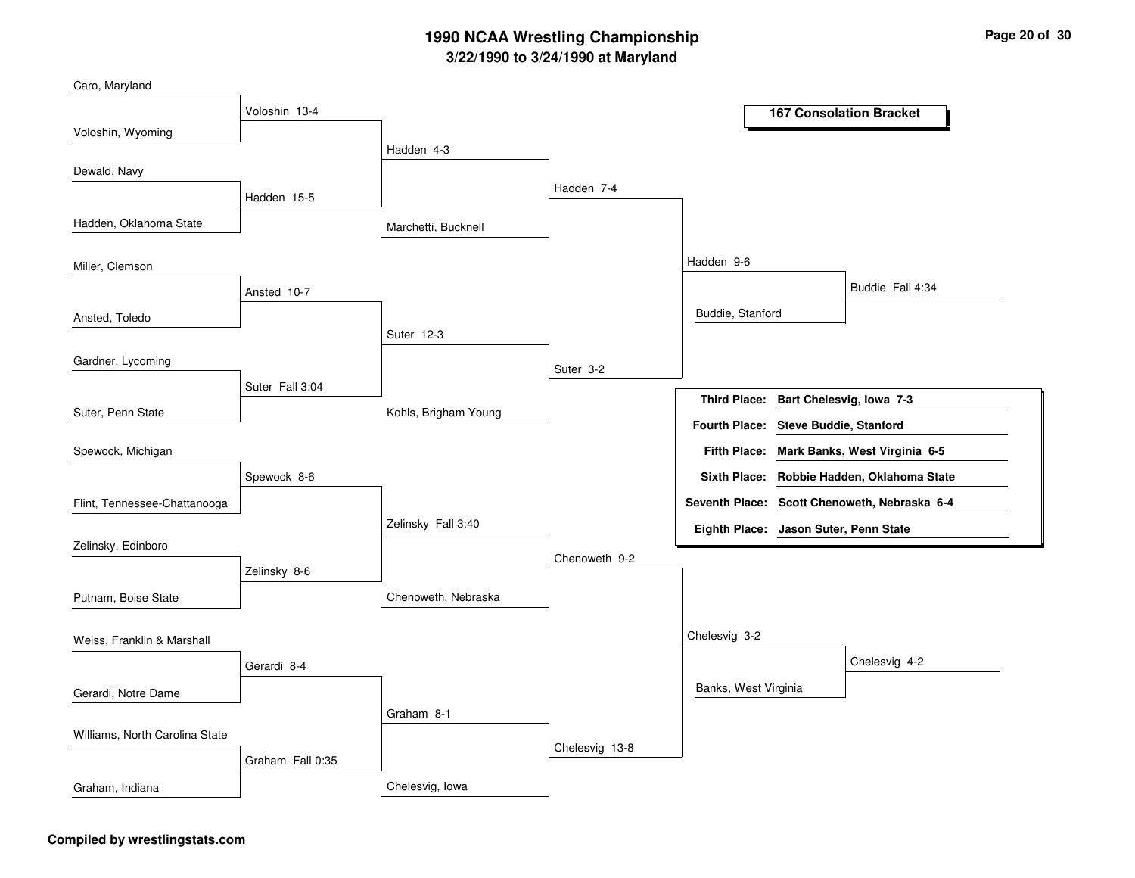| Caro, Maryland                 |                  |                      |                |                                       |                                              |
|--------------------------------|------------------|----------------------|----------------|---------------------------------------|----------------------------------------------|
|                                | Voloshin 13-4    |                      |                |                                       | <b>167 Consolation Bracket</b>               |
| Voloshin, Wyoming              |                  |                      |                |                                       |                                              |
|                                |                  | Hadden 4-3           |                |                                       |                                              |
| Dewald, Navy                   |                  |                      |                |                                       |                                              |
|                                | Hadden 15-5      |                      | Hadden 7-4     |                                       |                                              |
| Hadden, Oklahoma State         |                  | Marchetti, Bucknell  |                |                                       |                                              |
| Miller, Clemson                |                  |                      |                | Hadden 9-6                            |                                              |
|                                | Ansted 10-7      |                      |                |                                       | Buddie Fall 4:34                             |
| Ansted, Toledo                 |                  |                      |                | Buddie, Stanford                      |                                              |
|                                |                  | Suter 12-3           |                |                                       |                                              |
| Gardner, Lycoming              |                  |                      | Suter 3-2      |                                       |                                              |
|                                | Suter Fall 3:04  |                      |                | <b>Third Place:</b>                   | Bart Chelesvig, Iowa 7-3                     |
| Suter, Penn State              |                  | Kohls, Brigham Young |                | Fourth Place: Steve Buddie, Stanford  |                                              |
| Spewock, Michigan              |                  |                      |                | <b>Fifth Place:</b>                   | Mark Banks, West Virginia 6-5                |
|                                | Spewock 8-6      |                      |                |                                       | Sixth Place: Robbie Hadden, Oklahoma State   |
| Flint, Tennessee-Chattanooga   |                  |                      |                |                                       | Seventh Place: Scott Chenoweth, Nebraska 6-4 |
|                                |                  | Zelinsky Fall 3:40   |                | Eighth Place: Jason Suter, Penn State |                                              |
| Zelinsky, Edinboro             |                  |                      | Chenoweth 9-2  |                                       |                                              |
|                                | Zelinsky 8-6     |                      |                |                                       |                                              |
| Putnam, Boise State            |                  | Chenoweth, Nebraska  |                |                                       |                                              |
| Weiss, Franklin & Marshall     |                  |                      |                | Chelesvig 3-2                         |                                              |
|                                | Gerardi 8-4      |                      |                |                                       | Chelesvig 4-2                                |
| Gerardi, Notre Dame            |                  |                      |                | Banks, West Virginia                  |                                              |
|                                |                  | Graham 8-1           |                |                                       |                                              |
| Williams, North Carolina State |                  |                      |                |                                       |                                              |
|                                | Graham Fall 0:35 |                      | Chelesvig 13-8 |                                       |                                              |
| Graham, Indiana                |                  | Chelesvig, Iowa      |                |                                       |                                              |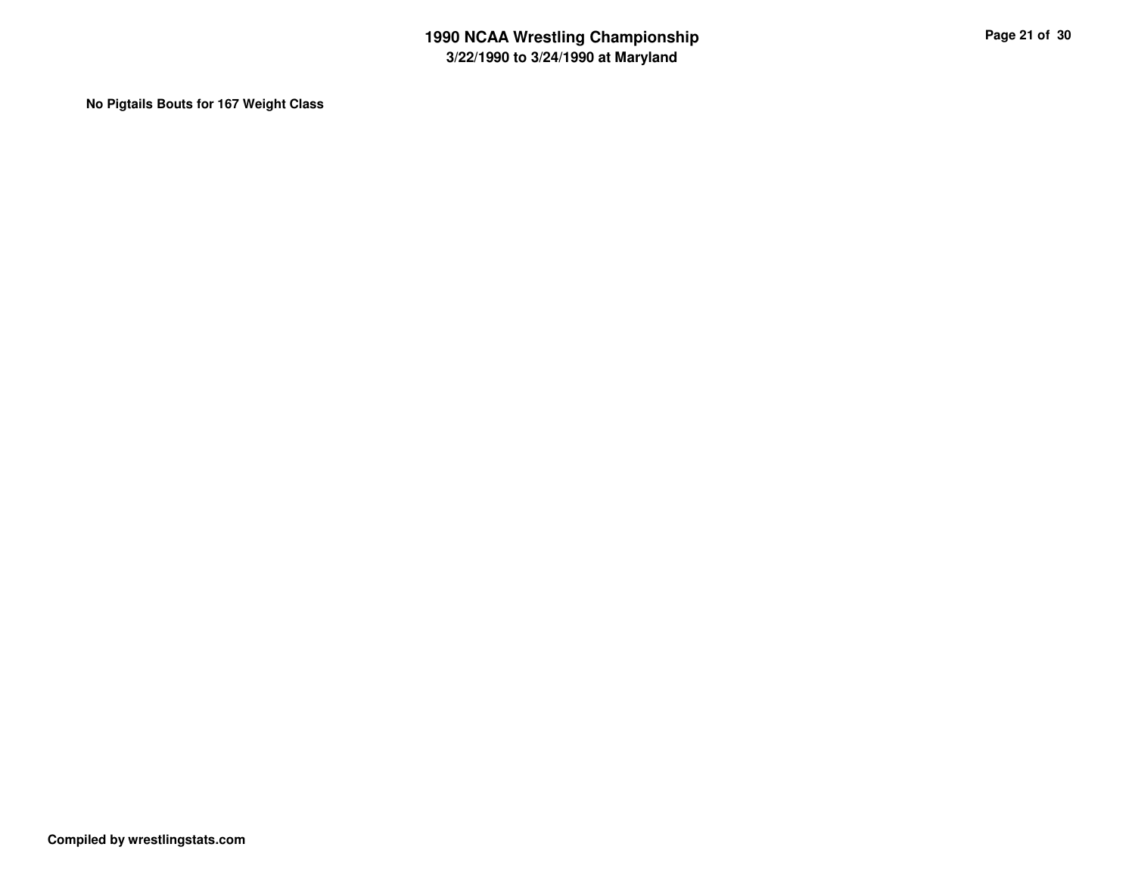**No Pigtails Bouts for 167 Weight Class**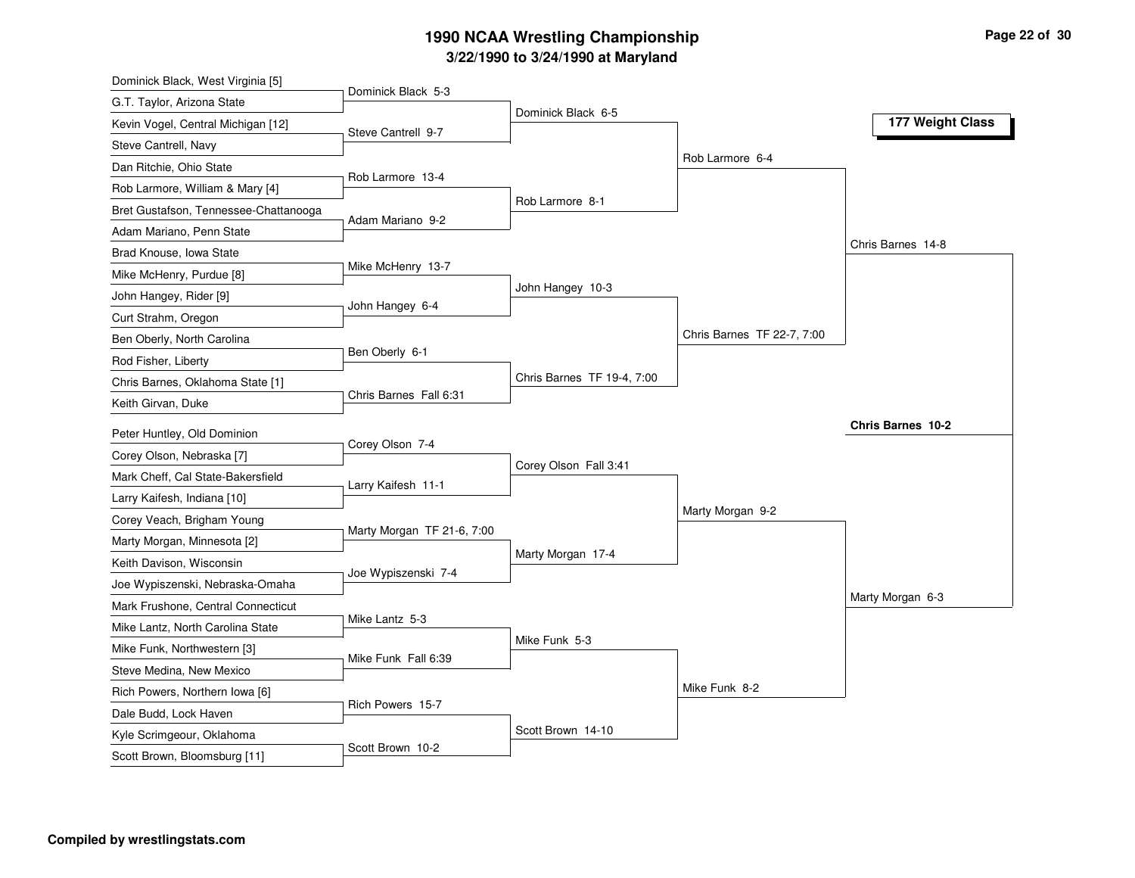| Dominick Black, West Virginia [5]     |                            |                            |                            |                   |
|---------------------------------------|----------------------------|----------------------------|----------------------------|-------------------|
| G.T. Taylor, Arizona State            | Dominick Black 5-3         |                            |                            |                   |
| Kevin Vogel, Central Michigan [12]    | Steve Cantrell 9-7         | Dominick Black 6-5         |                            | 177 Weight Class  |
| Steve Cantrell, Navy                  |                            |                            |                            |                   |
| Dan Ritchie, Ohio State               |                            |                            | Rob Larmore 6-4            |                   |
| Rob Larmore, William & Mary [4]       | Rob Larmore 13-4           |                            |                            |                   |
| Bret Gustafson, Tennessee-Chattanooga |                            | Rob Larmore 8-1            |                            |                   |
| Adam Mariano, Penn State              | Adam Mariano 9-2           |                            |                            |                   |
| Brad Knouse, Iowa State               |                            |                            |                            | Chris Barnes 14-8 |
| Mike McHenry, Purdue [8]              | Mike McHenry 13-7          |                            |                            |                   |
| John Hangey, Rider [9]                |                            | John Hangey 10-3           |                            |                   |
| Curt Strahm, Oregon                   | John Hangey 6-4            |                            |                            |                   |
| Ben Oberly, North Carolina            |                            |                            | Chris Barnes TF 22-7, 7:00 |                   |
| Rod Fisher, Liberty                   | Ben Oberly 6-1             |                            |                            |                   |
| Chris Barnes, Oklahoma State [1]      |                            | Chris Barnes TF 19-4, 7:00 |                            |                   |
| Keith Girvan, Duke                    | Chris Barnes Fall 6:31     |                            |                            |                   |
| Peter Huntley, Old Dominion           |                            |                            |                            | Chris Barnes 10-2 |
| Corey Olson, Nebraska [7]             | Corey Olson 7-4            |                            |                            |                   |
| Mark Cheff, Cal State-Bakersfield     |                            | Corey Olson Fall 3:41      |                            |                   |
| Larry Kaifesh, Indiana [10]           | Larry Kaifesh 11-1         |                            |                            |                   |
| Corey Veach, Brigham Young            |                            |                            | Marty Morgan 9-2           |                   |
| Marty Morgan, Minnesota [2]           | Marty Morgan TF 21-6, 7:00 |                            |                            |                   |
| Keith Davison, Wisconsin              |                            | Marty Morgan 17-4          |                            |                   |
| Joe Wypiszenski, Nebraska-Omaha       | Joe Wypiszenski 7-4        |                            |                            |                   |
| Mark Frushone, Central Connecticut    |                            |                            |                            | Marty Morgan 6-3  |
| Mike Lantz, North Carolina State      | Mike Lantz 5-3             |                            |                            |                   |
| Mike Funk, Northwestern [3]           |                            | Mike Funk 5-3              |                            |                   |
| Steve Medina, New Mexico              | Mike Funk Fall 6:39        |                            |                            |                   |
| Rich Powers, Northern Iowa [6]        |                            |                            | Mike Funk 8-2              |                   |
| Dale Budd, Lock Haven                 | Rich Powers 15-7           |                            |                            |                   |
| Kyle Scrimgeour, Oklahoma             |                            | Scott Brown 14-10          |                            |                   |
| Scott Brown, Bloomsburg [11]          | Scott Brown 10-2           |                            |                            |                   |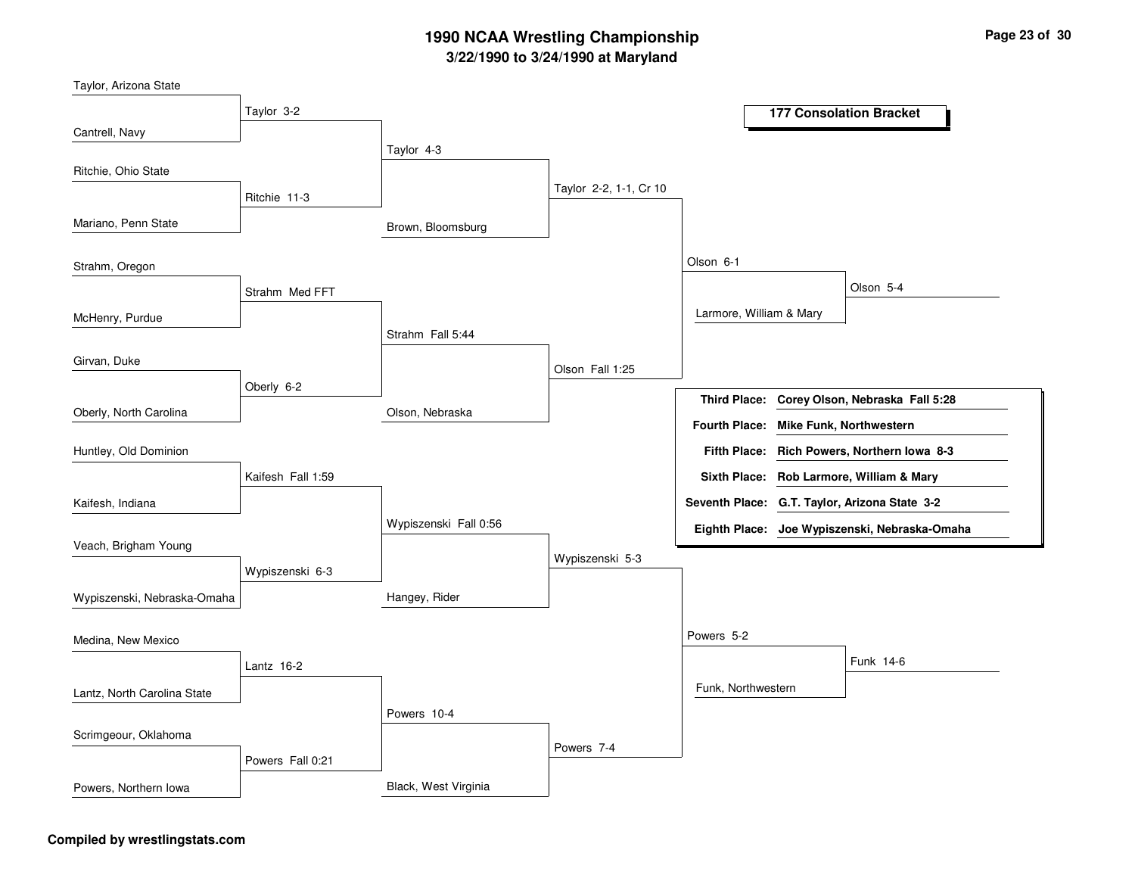| Taylor, Arizona State       |                   |                       |                        |                                       |                                               |
|-----------------------------|-------------------|-----------------------|------------------------|---------------------------------------|-----------------------------------------------|
|                             | Taylor 3-2        |                       |                        |                                       | <b>177 Consolation Bracket</b>                |
| Cantrell, Navy              |                   | Taylor 4-3            |                        |                                       |                                               |
| Ritchie, Ohio State         |                   |                       |                        |                                       |                                               |
|                             | Ritchie 11-3      |                       | Taylor 2-2, 1-1, Cr 10 |                                       |                                               |
| Mariano, Penn State         |                   | Brown, Bloomsburg     |                        |                                       |                                               |
| Strahm, Oregon              |                   |                       |                        | Olson 6-1                             |                                               |
|                             | Strahm Med FFT    |                       |                        |                                       | Olson 5-4                                     |
| McHenry, Purdue             |                   |                       |                        | Larmore, William & Mary               |                                               |
|                             |                   | Strahm Fall 5:44      |                        |                                       |                                               |
| Girvan, Duke                |                   |                       | Olson Fall 1:25        |                                       |                                               |
|                             | Oberly 6-2        |                       |                        | <b>Third Place:</b>                   | Corey Olson, Nebraska Fall 5:28               |
| Oberly, North Carolina      |                   | Olson, Nebraska       |                        | Fourth Place: Mike Funk, Northwestern |                                               |
| Huntley, Old Dominion       |                   |                       |                        |                                       | Fifth Place: Rich Powers, Northern Iowa 8-3   |
|                             | Kaifesh Fall 1:59 |                       |                        |                                       | Sixth Place: Rob Larmore, William & Mary      |
| Kaifesh, Indiana            |                   |                       |                        |                                       | Seventh Place: G.T. Taylor, Arizona State 3-2 |
|                             |                   | Wypiszenski Fall 0:56 |                        |                                       | Eighth Place: Joe Wypiszenski, Nebraska-Omaha |
| Veach, Brigham Young        |                   |                       | Wypiszenski 5-3        |                                       |                                               |
|                             | Wypiszenski 6-3   |                       |                        |                                       |                                               |
| Wypiszenski, Nebraska-Omaha |                   | Hangey, Rider         |                        |                                       |                                               |
| Medina, New Mexico          |                   |                       |                        | Powers 5-2                            |                                               |
|                             | Lantz 16-2        |                       |                        |                                       | Funk 14-6                                     |
| Lantz, North Carolina State |                   |                       |                        | Funk, Northwestern                    |                                               |
|                             |                   | Powers 10-4           |                        |                                       |                                               |
| Scrimgeour, Oklahoma        |                   |                       | Powers 7-4             |                                       |                                               |
|                             | Powers Fall 0:21  |                       |                        |                                       |                                               |
| Powers, Northern Iowa       |                   | Black, West Virginia  |                        |                                       |                                               |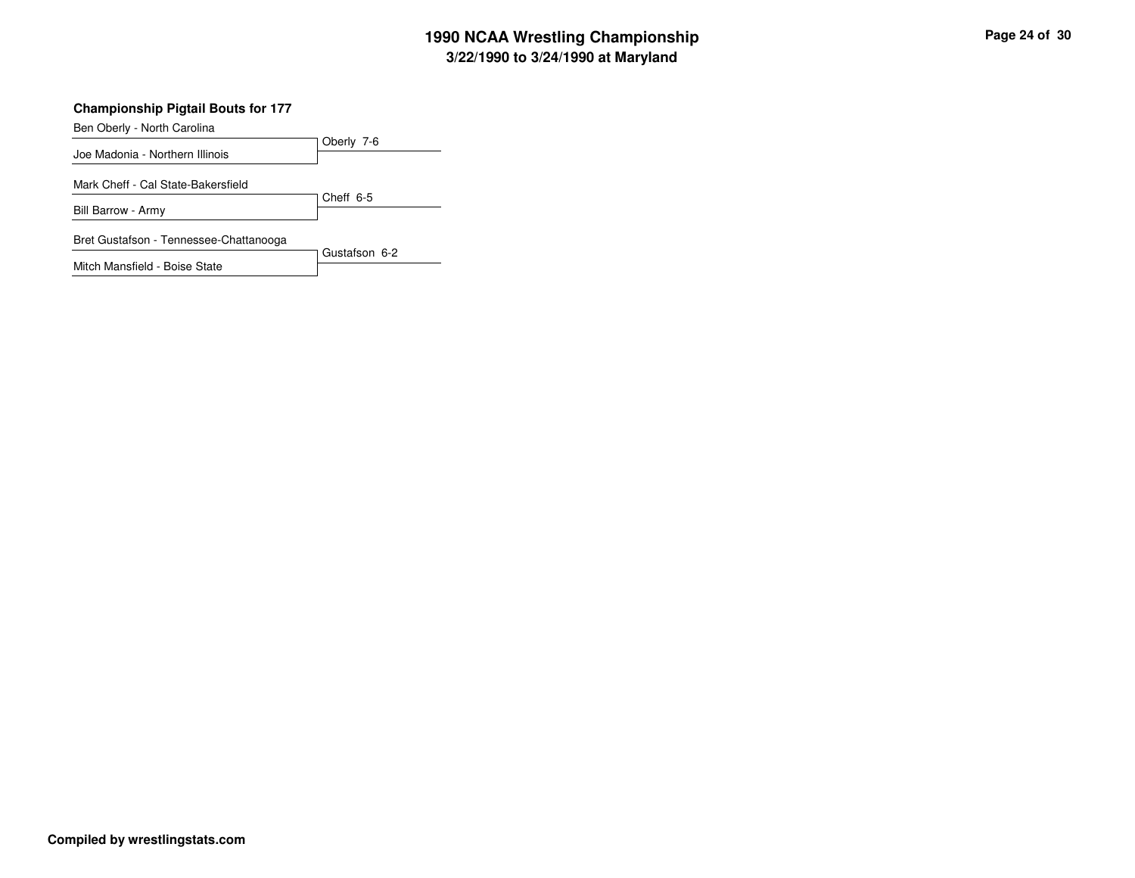### **Championship Pigtail Bouts for 177**

Ben Oberly - North Carolina

| Oberly 7-6    |
|---------------|
|               |
|               |
|               |
| Cheff 6-5     |
|               |
|               |
| Gustafson 6-2 |
|               |
|               |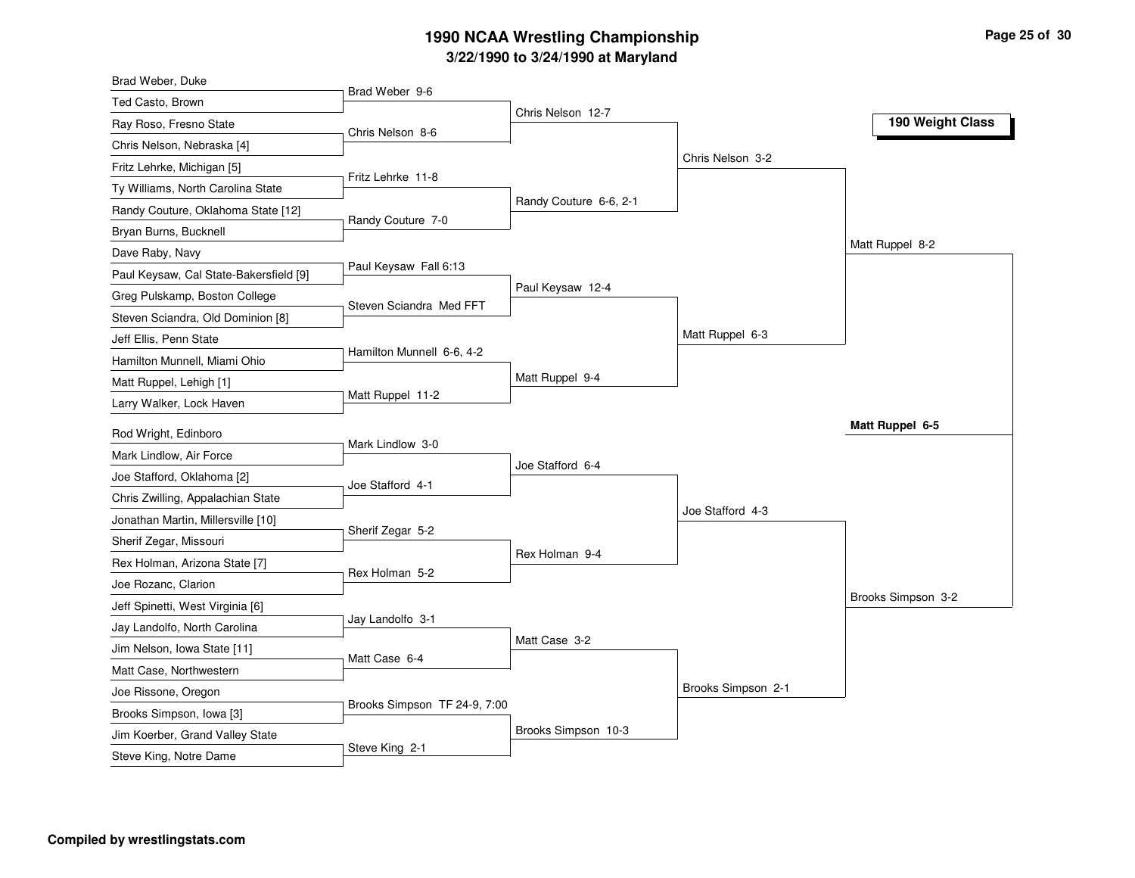| Brad Weber, Duke                                            |                              |                        |                    |                    |
|-------------------------------------------------------------|------------------------------|------------------------|--------------------|--------------------|
| Ted Casto, Brown                                            | Brad Weber 9-6               | Chris Nelson 12-7      |                    |                    |
| Ray Roso, Fresno State                                      | Chris Nelson 8-6             |                        |                    | 190 Weight Class   |
| Chris Nelson, Nebraska [4]                                  |                              |                        |                    |                    |
| Fritz Lehrke, Michigan [5]                                  |                              |                        | Chris Nelson 3-2   |                    |
| Ty Williams, North Carolina State                           | Fritz Lehrke 11-8            |                        |                    |                    |
| Randy Couture, Oklahoma State [12]                          |                              | Randy Couture 6-6, 2-1 |                    |                    |
| Bryan Burns, Bucknell                                       | Randy Couture 7-0            |                        |                    |                    |
| Dave Raby, Navy                                             |                              |                        |                    | Matt Ruppel 8-2    |
| Paul Keysaw, Cal State-Bakersfield [9]                      | Paul Keysaw Fall 6:13        |                        |                    |                    |
| Greg Pulskamp, Boston College                               |                              | Paul Keysaw 12-4       |                    |                    |
| Steven Sciandra, Old Dominion [8]                           | Steven Sciandra Med FFT      |                        |                    |                    |
| Jeff Ellis, Penn State                                      |                              |                        | Matt Ruppel 6-3    |                    |
| Hamilton Munnell, Miami Ohio                                | Hamilton Munnell 6-6, 4-2    |                        |                    |                    |
| Matt Ruppel, Lehigh [1]                                     |                              | Matt Ruppel 9-4        |                    |                    |
| Larry Walker, Lock Haven                                    | Matt Ruppel 11-2             |                        |                    |                    |
| Rod Wright, Edinboro                                        |                              |                        |                    | Matt Ruppel 6-5    |
| Mark Lindlow, Air Force                                     | Mark Lindlow 3-0             |                        |                    |                    |
| Joe Stafford, Oklahoma [2]                                  |                              | Joe Stafford 6-4       |                    |                    |
| Chris Zwilling, Appalachian State                           | Joe Stafford 4-1             |                        |                    |                    |
| Jonathan Martin, Millersville [10]                          |                              |                        | Joe Stafford 4-3   |                    |
| Sherif Zegar, Missouri                                      | Sherif Zegar 5-2             |                        |                    |                    |
| Rex Holman, Arizona State [7]                               |                              | Rex Holman 9-4         |                    |                    |
| Joe Rozanc, Clarion                                         | Rex Holman 5-2               |                        |                    |                    |
| Jeff Spinetti, West Virginia [6]                            |                              |                        |                    | Brooks Simpson 3-2 |
|                                                             | Jay Landolfo 3-1             |                        |                    |                    |
| Jay Landolfo, North Carolina<br>Jim Nelson, Iowa State [11] |                              | Matt Case 3-2          |                    |                    |
| Matt Case, Northwestern                                     | Matt Case 6-4                |                        |                    |                    |
|                                                             |                              |                        | Brooks Simpson 2-1 |                    |
| Joe Rissone, Oregon                                         | Brooks Simpson TF 24-9, 7:00 |                        |                    |                    |
| Brooks Simpson, Iowa [3]<br>Jim Koerber, Grand Valley State |                              |                        |                    |                    |
|                                                             |                              | Brooks Simpson 10-3    |                    |                    |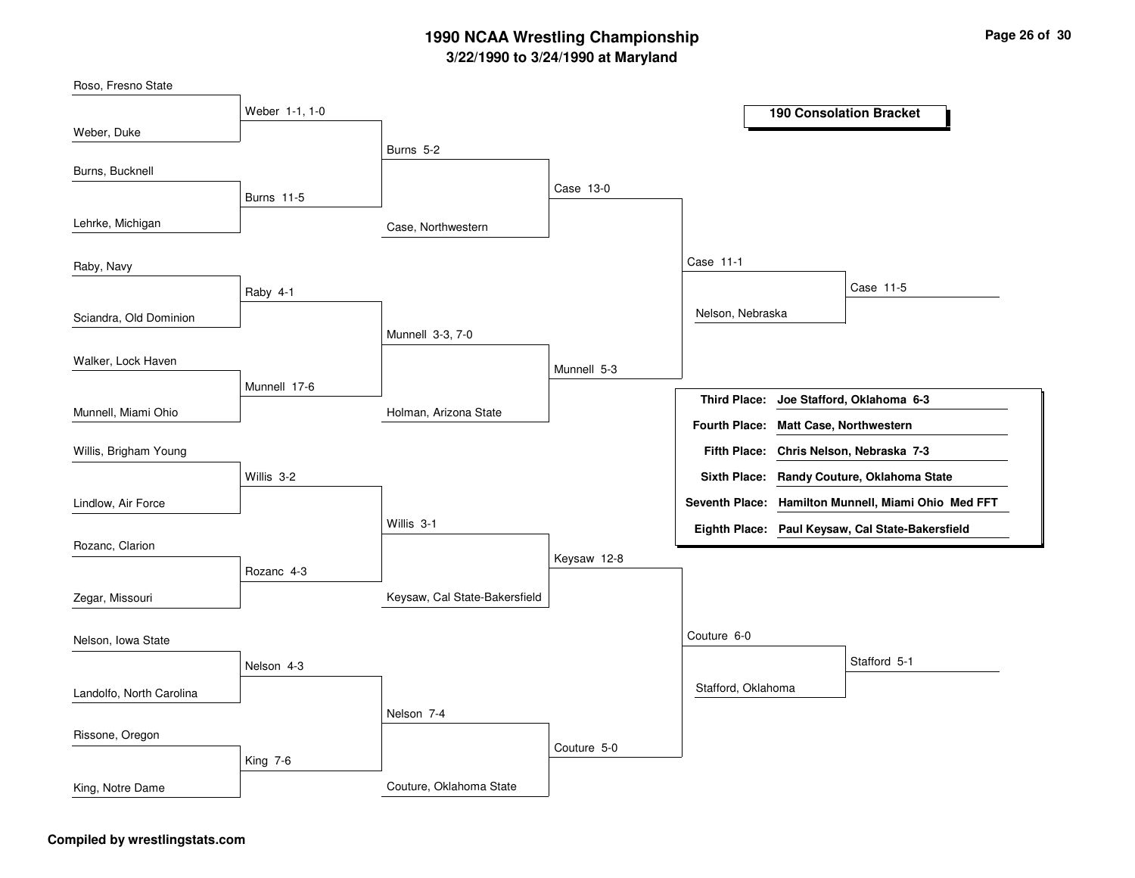Case, NorthwesternHolman, Arizona StateKeysaw, Cal State-BakersfieldCouture, Oklahoma StateBurns 5-2Munnell 3-3, 7-0Willis 3-1Nelson 7-4Case 13-0Munnell 5-3Keysaw 12-8Couture 5-0Case 11-1Couture 6-0Nelson, NebraskaStafford, OklahomaCase 11-5Stafford 5-1Weber 1-1, 1-0Burns 11-5Raby 4-1Munnell 17-6Willis 3-2Rozanc 4-3Nelson 4-3King 7-6Weber, DukeLehrke, MichiganSciandra, Old DominionMunnell, Miami OhioRoso, Fresno StateBurns, BucknellRaby, NavyWalker, Lock HavenLindlow, Air ForceWillis, Brigham YoungRozanc, ClarionZegar, MissouriLandolfo, North CarolinaNelson, Iowa StateRissone, OregonKing, Notre Dame**190 Consolation BracketJoe Stafford, Oklahoma 6-3Third Place:Chris Nelson, Nebraska 7-3Fifth Place:Seventh Place: Hamilton Munnell, Miami Ohio Med FFTEighth Place: Paul Keysaw, Cal State-BakersfieldFourth Place: Matt Case, NorthwesternSixth Place: Randy Couture, Oklahoma State**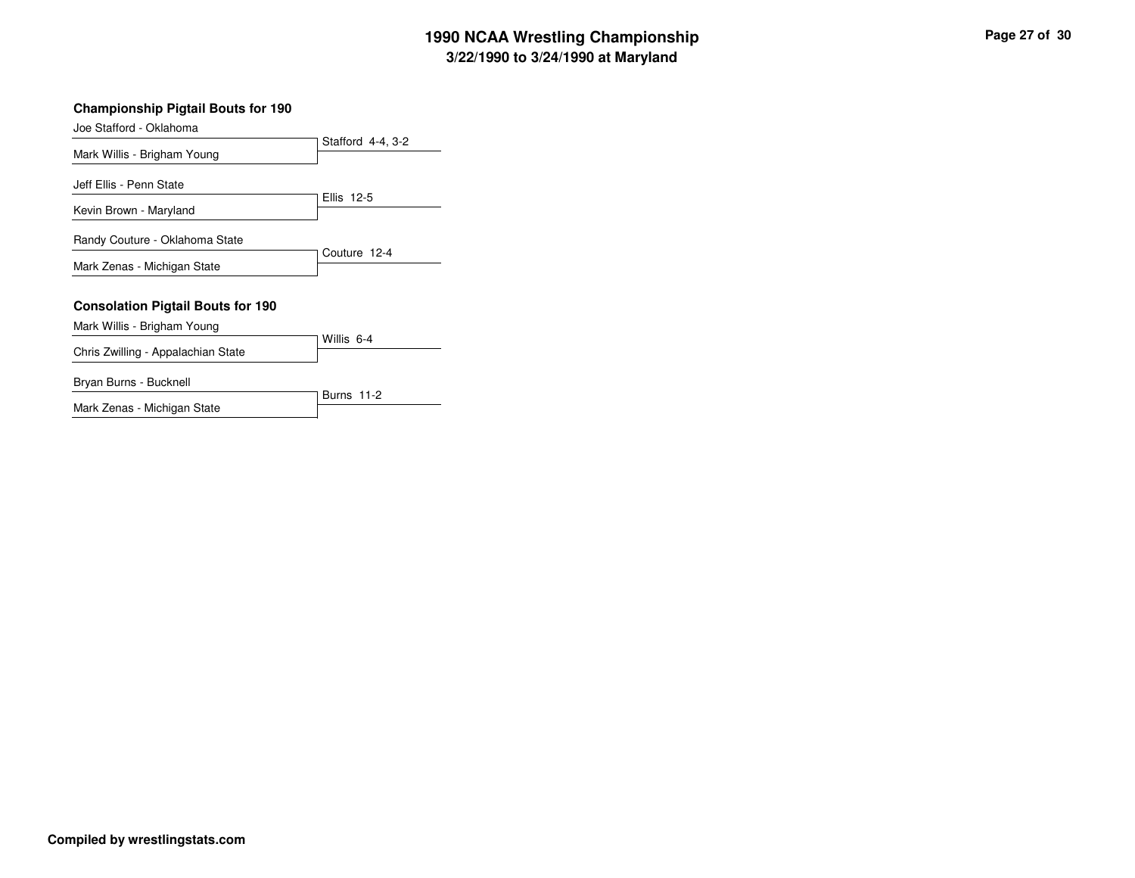| <b>Championship Pigtail Bouts for 190</b>                               |                   |
|-------------------------------------------------------------------------|-------------------|
| Joe Stafford - Oklahoma                                                 |                   |
| Mark Willis - Brigham Young                                             | Stafford 4-4, 3-2 |
| Jeff Ellis - Penn State                                                 | Ellis 12-5        |
| Kevin Brown - Maryland                                                  |                   |
| Randy Couture - Oklahoma State                                          | Couture 12-4      |
| Mark Zenas - Michigan State                                             |                   |
| <b>Consolation Pigtail Bouts for 190</b><br>Mark Willis - Brigham Young |                   |
|                                                                         | Willis 6-4        |
| Chris Zwilling - Appalachian State                                      |                   |
| Bryan Burns - Bucknell                                                  | <b>Burns 11-2</b> |

Mark Zenas - Michigan State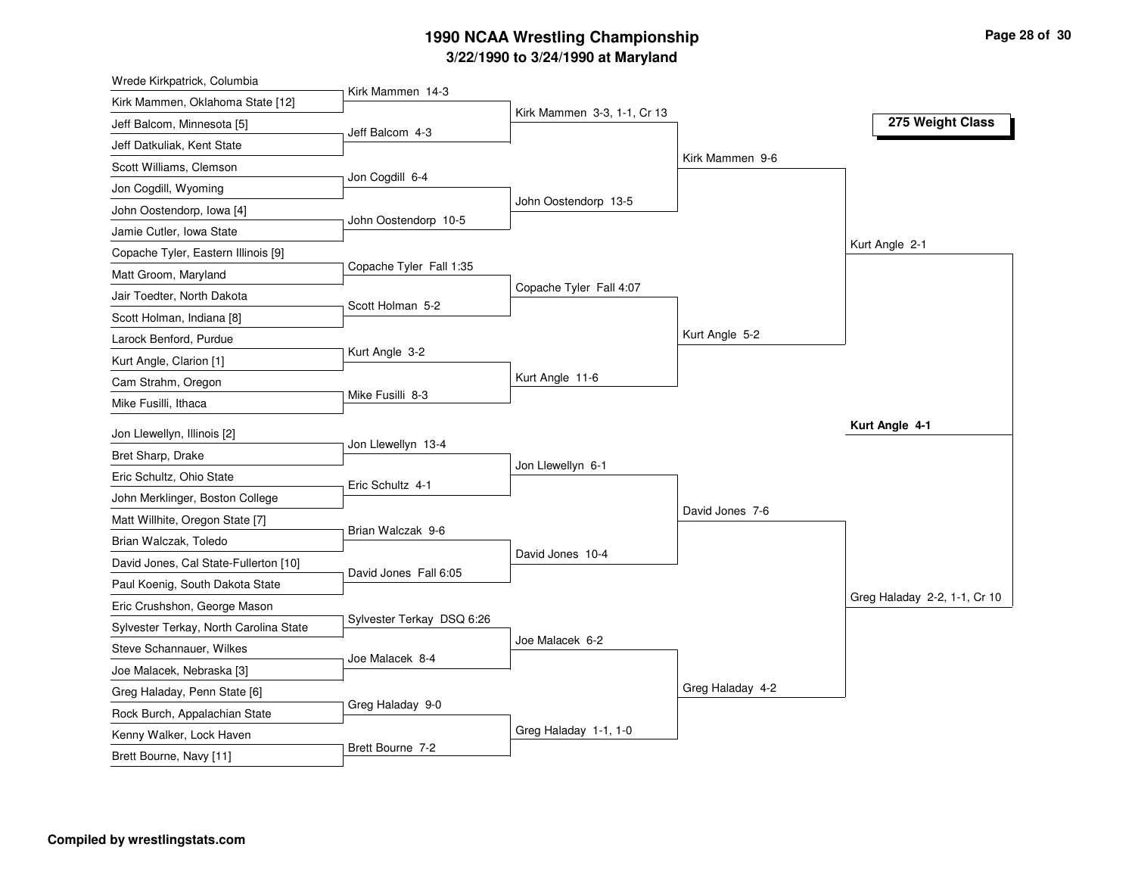| Wrede Kirkpatrick, Columbia                                   |                           |                             |                  |                              |
|---------------------------------------------------------------|---------------------------|-----------------------------|------------------|------------------------------|
| Kirk Mammen, Oklahoma State [12]                              | Kirk Mammen 14-3          |                             |                  |                              |
| Jeff Balcom, Minnesota [5]                                    | Jeff Balcom 4-3           | Kirk Mammen 3-3, 1-1, Cr 13 |                  | 275 Weight Class             |
| Jeff Datkuliak, Kent State                                    |                           |                             |                  |                              |
| Scott Williams, Clemson                                       |                           |                             | Kirk Mammen 9-6  |                              |
| Jon Cogdill, Wyoming                                          | Jon Cogdill 6-4           |                             |                  |                              |
| John Oostendorp, Iowa [4]                                     |                           | John Oostendorp 13-5        |                  |                              |
| Jamie Cutler, Iowa State                                      | John Oostendorp 10-5      |                             |                  |                              |
| Copache Tyler, Eastern Illinois [9]                           |                           |                             |                  | Kurt Angle 2-1               |
| Matt Groom, Maryland                                          | Copache Tyler Fall 1:35   |                             |                  |                              |
| Jair Toedter, North Dakota                                    |                           | Copache Tyler Fall 4:07     |                  |                              |
| Scott Holman, Indiana [8]                                     | Scott Holman 5-2          |                             |                  |                              |
| Larock Benford, Purdue                                        |                           |                             | Kurt Angle 5-2   |                              |
| Kurt Angle, Clarion [1]                                       | Kurt Angle 3-2            |                             |                  |                              |
| Cam Strahm, Oregon                                            |                           | Kurt Angle 11-6             |                  |                              |
| Mike Fusilli, Ithaca                                          | Mike Fusilli 8-3          |                             |                  |                              |
| Jon Llewellyn, Illinois [2]                                   |                           |                             |                  | Kurt Angle 4-1               |
| Bret Sharp, Drake                                             | Jon Llewellyn 13-4        |                             |                  |                              |
| Eric Schultz, Ohio State                                      |                           | Jon Llewellyn 6-1           |                  |                              |
| John Merklinger, Boston College                               | Eric Schultz 4-1          |                             |                  |                              |
| Matt Willhite, Oregon State [7]                               |                           |                             | David Jones 7-6  |                              |
| Brian Walczak, Toledo                                         | Brian Walczak 9-6         |                             |                  |                              |
| David Jones, Cal State-Fullerton [10]                         |                           | David Jones 10-4            |                  |                              |
| Paul Koenig, South Dakota State                               | David Jones Fall 6:05     |                             |                  |                              |
| Eric Crushshon, George Mason                                  |                           |                             |                  | Greg Haladay 2-2, 1-1, Cr 10 |
| Sylvester Terkay, North Carolina State                        | Sylvester Terkay DSQ 6:26 |                             |                  |                              |
| Steve Schannauer, Wilkes                                      |                           | Joe Malacek 6-2             |                  |                              |
|                                                               | Joe Malacek 8-4           |                             |                  |                              |
| Joe Malacek, Nebraska [3]                                     |                           |                             | Greg Haladay 4-2 |                              |
| Greg Haladay, Penn State [6]<br>Rock Burch, Appalachian State | Greg Haladay 9-0          |                             |                  |                              |
|                                                               |                           |                             |                  |                              |
| Kenny Walker, Lock Haven                                      |                           | Greg Haladay 1-1, 1-0       |                  |                              |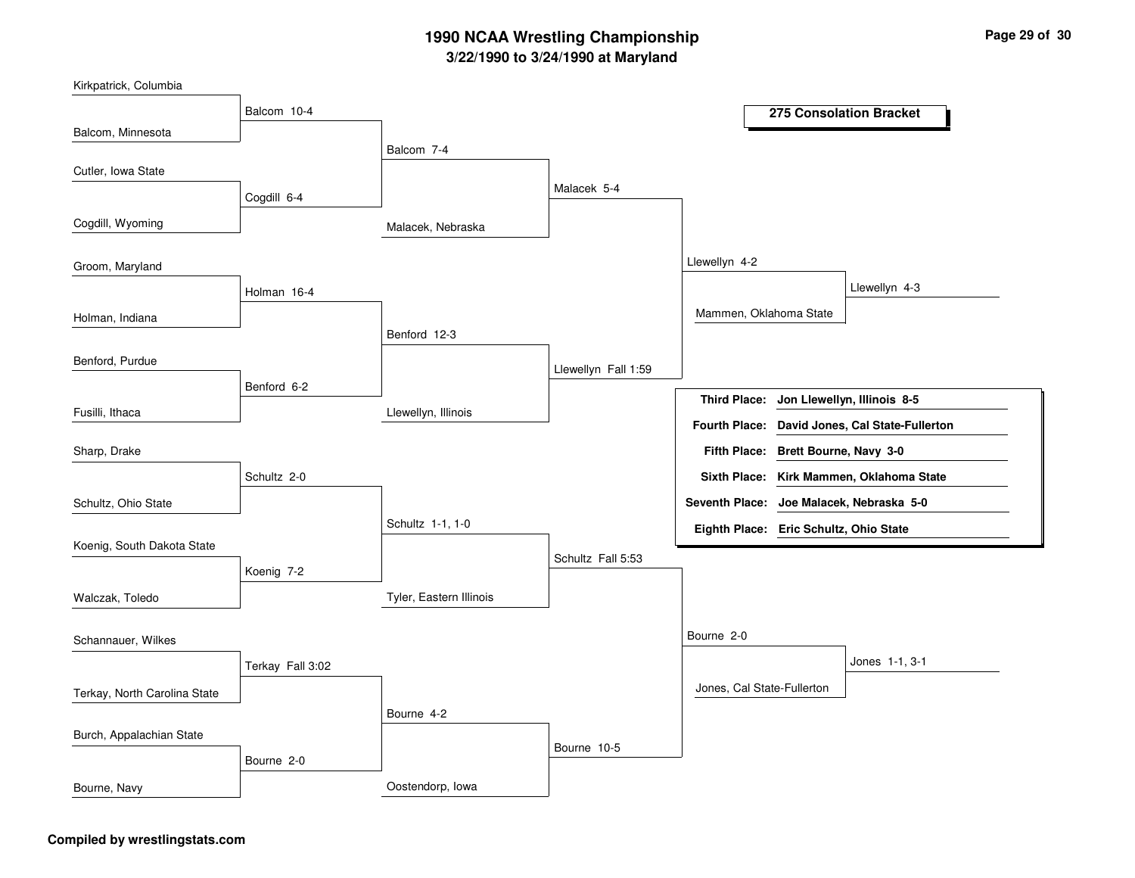| Kirkpatrick, Columbia        |                  |                         |                     |                                          |                        |                                          |
|------------------------------|------------------|-------------------------|---------------------|------------------------------------------|------------------------|------------------------------------------|
|                              | Balcom 10-4      |                         |                     |                                          |                        | 275 Consolation Bracket                  |
| Balcom, Minnesota            |                  |                         |                     |                                          |                        |                                          |
|                              |                  | Balcom 7-4              |                     |                                          |                        |                                          |
| Cutler, Iowa State           |                  |                         |                     |                                          |                        |                                          |
|                              | Cogdill 6-4      |                         | Malacek 5-4         |                                          |                        |                                          |
|                              |                  |                         |                     |                                          |                        |                                          |
| Cogdill, Wyoming             |                  | Malacek, Nebraska       |                     |                                          |                        |                                          |
|                              |                  |                         |                     |                                          |                        |                                          |
| Groom, Maryland              |                  |                         |                     | Llewellyn 4-2                            |                        |                                          |
|                              | Holman 16-4      |                         |                     |                                          |                        | Llewellyn 4-3                            |
|                              |                  |                         |                     | Mammen, Oklahoma State                   |                        |                                          |
| Holman, Indiana              |                  | Benford 12-3            |                     |                                          |                        |                                          |
|                              |                  |                         |                     |                                          |                        |                                          |
| Benford, Purdue              |                  |                         | Llewellyn Fall 1:59 |                                          |                        |                                          |
|                              | Benford 6-2      |                         |                     |                                          |                        |                                          |
| Fusilli, Ithaca              |                  | Llewellyn, Illinois     |                     | <b>Third Place:</b>                      |                        | Jon Llewellyn, Illinois 8-5              |
|                              |                  |                         |                     | <b>Fourth Place:</b>                     |                        | David Jones, Cal State-Fullerton         |
| Sharp, Drake                 |                  |                         |                     | <b>Fifth Place:</b>                      | Brett Bourne, Navy 3-0 |                                          |
|                              | Schultz 2-0      |                         |                     |                                          |                        | Sixth Place: Kirk Mammen, Oklahoma State |
| Schultz, Ohio State          |                  |                         |                     | Seventh Place: Joe Malacek, Nebraska 5-0 |                        |                                          |
|                              |                  | Schultz 1-1, 1-0        |                     | Eighth Place: Eric Schultz, Ohio State   |                        |                                          |
| Koenig, South Dakota State   |                  |                         |                     |                                          |                        |                                          |
|                              | Koenig 7-2       |                         | Schultz Fall 5:53   |                                          |                        |                                          |
|                              |                  |                         |                     |                                          |                        |                                          |
| Walczak, Toledo              |                  | Tyler, Eastern Illinois |                     |                                          |                        |                                          |
|                              |                  |                         |                     |                                          |                        |                                          |
| Schannauer, Wilkes           |                  |                         |                     | Bourne 2-0                               |                        |                                          |
|                              | Terkay Fall 3:02 |                         |                     |                                          |                        | Jones 1-1, 3-1                           |
| Terkay, North Carolina State |                  |                         |                     | Jones, Cal State-Fullerton               |                        |                                          |
|                              |                  | Bourne 4-2              |                     |                                          |                        |                                          |
| Burch, Appalachian State     |                  |                         |                     |                                          |                        |                                          |
|                              |                  |                         | Bourne 10-5         |                                          |                        |                                          |
|                              | Bourne 2-0       |                         |                     |                                          |                        |                                          |
| Bourne, Navy                 |                  | Oostendorp, lowa        |                     |                                          |                        |                                          |